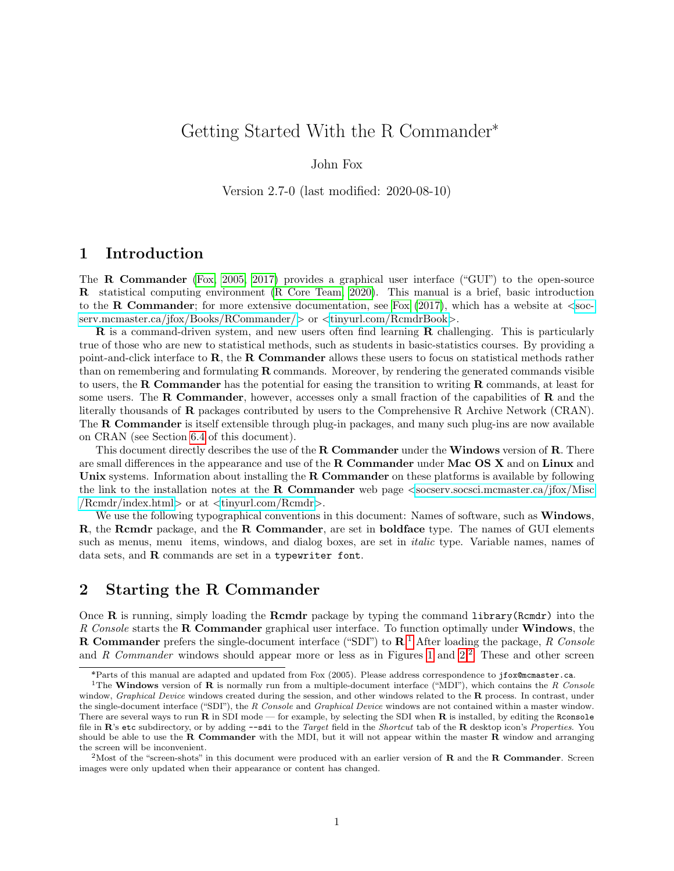# Getting Started With the R Commander

### John Fox

Version 2.7-0 (last modified: 2020-08-10)

## 1 Introduction

The R Commander [\(Fox, 2005,](#page-27-0) [2017\)](#page-27-1) provides a graphical user interface ("GUI") to the open-source R statistical computing environment [\(R Core Team, 2020\)](#page-27-2). This manual is a brief, basic introduction to the **R Commander**; for more extensive documentation, see Fox  $(2017)$ , which has a website at  $\leq$ [soc](https://socserv.mcmaster.ca/jfox/Books/RCommander/)[serv.mcmaster.ca/jfox/Books/RCommander/](https://socserv.mcmaster.ca/jfox/Books/RCommander/)> or <[tinyurl.com/RcmdrBook](https://tinyurl.com/RcmdrBook)>.

R is a command-driven system, and new users often find learning R challenging. This is particularly true of those who are new to statistical methods, such as students in basic-statistics courses. By providing a point-and-click interface to R, the R Commander allows these users to focus on statistical methods rather than on remembering and formulating  $\bf{R}$  commands. Moreover, by rendering the generated commands visible to users, the R Commander has the potential for easing the transition to writing R commands, at least for some users. The **R Commander**, however, accesses only a small fraction of the capabilities of **R** and the literally thousands of R packages contributed by users to the Comprehensive R Archive Network (CRAN). The **R Commander** is itself extensible through plug-in packages, and many such plug-ins are now available on CRAN (see Section [6.4](#page-27-3) of this document).

This document directly describes the use of the **R** Commander under the Windows version of **R**. There are small differences in the appearance and use of the **R** Commander under Mac OS X and on Linux and Unix systems. Information about installing the R Commander on these platforms is available by following the link to the installation notes at the **R** Commander web page  $\leq$ [socserv.socsci.mcmaster.ca/jfox/Misc](https://socserv.socsci.mcmaster.ca/jfox/Misc/Rcmdr/index.html) [/Rcmdr/index.html](https://socserv.socsci.mcmaster.ca/jfox/Misc/Rcmdr/index.html)> or at <[tinyurl.com/Rcmdr](https://tinyurl.com/Rcmdr)>.

We use the following typographical conventions in this document: Names of software, such as **Windows**, R, the Rcmdr package, and the R Commander, are set in boldface type. The names of GUI elements such as menus, menu items, windows, and dialog boxes, are set in *italic* type. Variable names, names of data sets, and R commands are set in a typewriter font.

## 2 Starting the R Commander

Once R is running, simply loading the Rcmdr package by typing the command library(Rcmdr) into the *R Console* starts the R Commander graphical user interface. To function optimally under Windows, the R Commander prefers the single-document interface ("SDI") to R. [1](#page-0-0) After loading the package, *R Console* and *R Commander* windows should appear more or less as in Figures [1](#page-1-0) and [2.](#page-2-0)<sup>[2](#page-0-1)</sup> These and other screen

<span id="page-0-0"></span>Parts of this manual are adapted and updated from Fox (2005). Please address correspondence to jfox@mcmaster.ca.

<sup>&</sup>lt;sup>1</sup>The Windows version of R is normally run from a multiple-document interface ("MDI"), which contains the R Console window, *Graphical Device* windows created during the session, and other windows related to the  $\bf{R}$  process. In contrast, under the single-document interface ("SDI"), the R Console and Graphical Device windows are not contained within a master window. There are several ways to run  $\bf R$  in SDI mode — for example, by selecting the SDI when  $\bf R$  is installed, by editing the Rconsole file in  $\mathbb{R}$ 's etc subdirectory, or by adding  $-$ -sdi to the Target field in the Shortcut tab of the  $\mathbb{R}$  desktop icon's Properties. You should be able to use the  $R$  Commander with the MDI, but it will not appear within the master  $R$  window and arranging the screen will be inconvenient.

<span id="page-0-1"></span><sup>&</sup>lt;sup>2</sup>Most of the "screen-shots" in this document were produced with an earlier version of  $\bf{R}$  and the  $\bf{R}$  **Commander**. Screen images were only updated when their appearance or content has changed.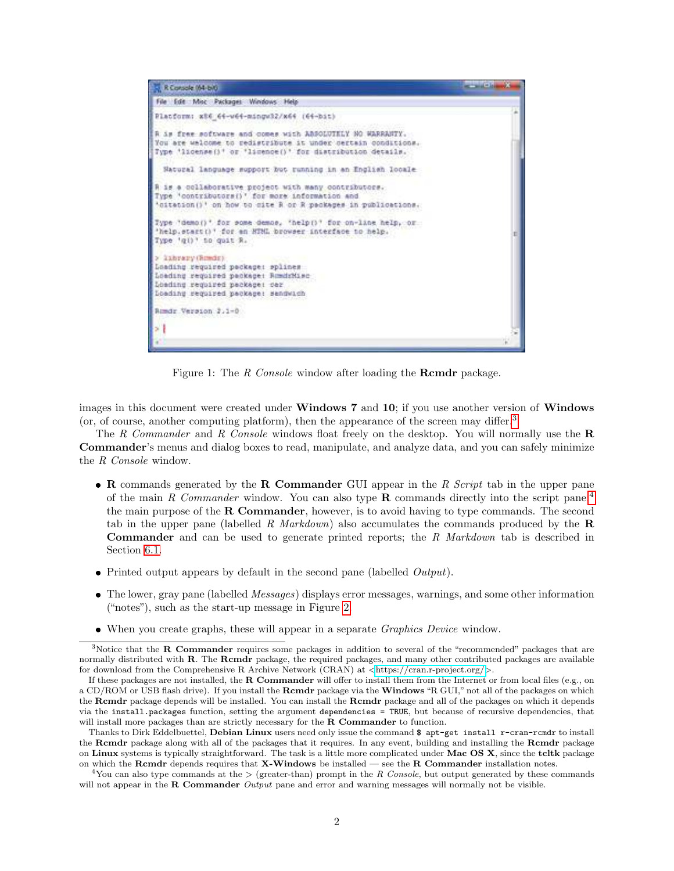

<span id="page-1-0"></span>Figure 1: The *R Console* window after loading the **Rcmdr** package.

images in this document were created under Windows 7 and 10; if you use another version of Windows (or, of course, another computing platform), then the appearance of the screen may differ.<sup>[3](#page-1-1)</sup>

The *R Commander* and *R Console* windows float freely on the desktop. You will normally use the R Commander's menus and dialog boxes to read, manipulate, and analyze data, and you can safely minimize the *R Console* window.

- R commands generated by the R Commander GUI appear in the *R Script* tab in the upper pane of the main *R Commander* window. You can also type **R** commands directly into the script pane;<sup>[4](#page-1-2)</sup> the main purpose of the R Commander, however, is to avoid having to type commands. The second tab in the upper pane (labelled *R Markdown*) also accumulates the commands produced by the R Commander and can be used to generate printed reports; the *R Markdown* tab is described in Section [6.1.](#page-23-0)
- Printed output appears by default in the second pane (labelled *Output*).
- The lower, gray pane (labelled *Messages*) displays error messages, warnings, and some other information ("notes"), such as the start-up message in Figure [2.](#page-2-0)
- <span id="page-1-1"></span>When you create graphs, these will appear in a separate *Graphics Device* window.

 $3$ Notice that the R Commander requires some packages in addition to several of the "recommended" packages that are normally distributed with R. The Rcmdr package, the required packages, and many other contributed packages are available for download from the Comprehensive R Archive Network (CRAN) at <<https://cran.r-project.org/>>.

If these packages are not installed, the **R Commander** will offer to install them from the Internet or from local files (e.g., on a CD/ROM or USB flash drive). If you install the **Rcmdr** package via the **Windows** "R GUI," not all of the packages on which the Rcmdr package depends will be installed. You can install the Rcmdr package and all of the packages on which it depends via the install.packages function, setting the argument dependencies = TRUE, but because of recursive dependencies, that will install more packages than are strictly necessary for the **R** Commander to function.

Thanks to Dirk Eddelbuettel, Debian Linux users need only issue the command \$ apt-get install r-cran-rcmdr to install the Rcmdr package along with all of the packages that it requires. In any event, building and installing the Rcmdr package on Linux systems is typically straightforward. The task is a little more complicated under Mac OS X, since the tcltk package on which the Rcmdr depends requires that X-Windows be installed — see the R Commander installation notes.

<span id="page-1-2"></span><sup>&</sup>lt;sup>4</sup>You can also type commands at the  $\geq$  (greater-than) prompt in the R Console, but output generated by these commands will not appear in the R Commander Output pane and error and warning messages will normally not be visible.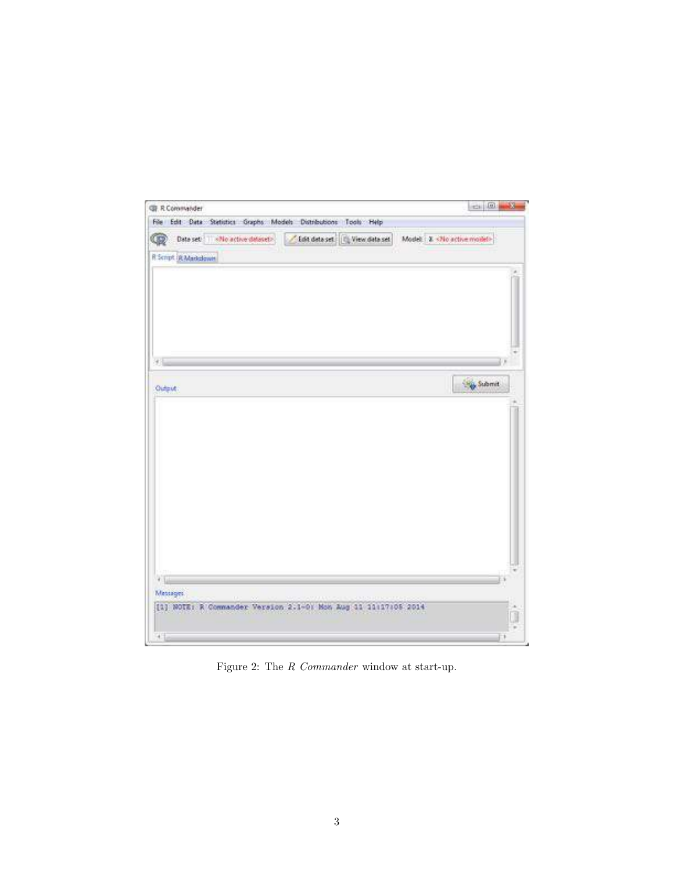| File Edit Data Statistics Graphs Models Distributions Tools Help<br>Data set in «No active dataset» / Edit data set [2] View data set   Model: 3.<br>Olio active model><br><b>CD</b><br>R Sempt (R Markdown<br> | $-100$<br>- 2 |
|-----------------------------------------------------------------------------------------------------------------------------------------------------------------------------------------------------------------|---------------|
|                                                                                                                                                                                                                 |               |
|                                                                                                                                                                                                                 |               |
|                                                                                                                                                                                                                 |               |
|                                                                                                                                                                                                                 |               |
|                                                                                                                                                                                                                 |               |
|                                                                                                                                                                                                                 |               |
|                                                                                                                                                                                                                 |               |
|                                                                                                                                                                                                                 |               |
|                                                                                                                                                                                                                 |               |
|                                                                                                                                                                                                                 |               |
|                                                                                                                                                                                                                 |               |
|                                                                                                                                                                                                                 |               |
|                                                                                                                                                                                                                 |               |
|                                                                                                                                                                                                                 |               |
|                                                                                                                                                                                                                 |               |
|                                                                                                                                                                                                                 | $\sim$        |
| 4.                                                                                                                                                                                                              |               |

<span id="page-2-0"></span>Figure 2: The *R Commander* window at start-up.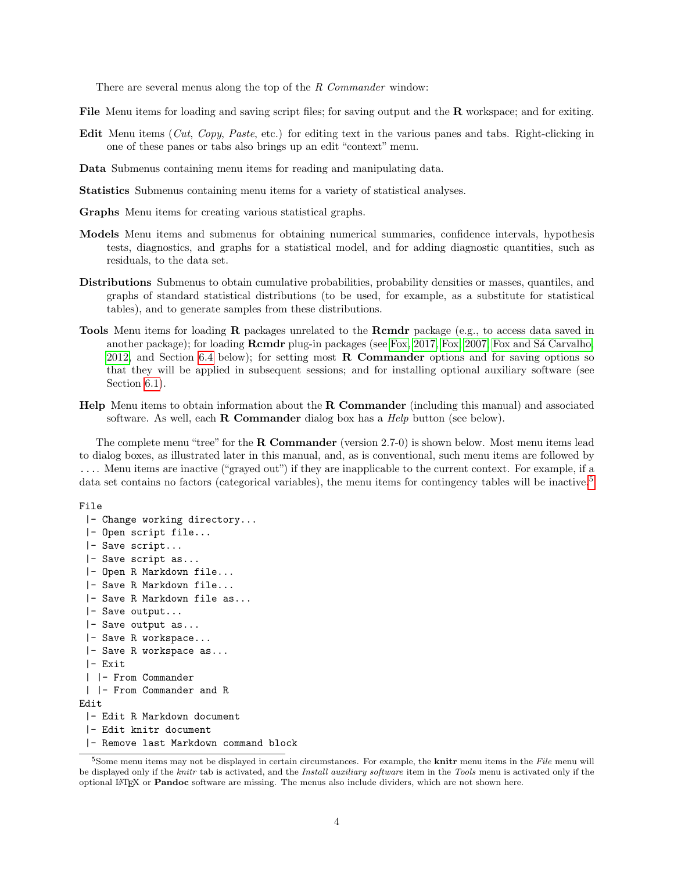There are several menus along the top of the *R Commander* window:

File Menu items for loading and saving script files; for saving output and the R workspace; and for exiting.

- Edit Menu items (*Cut*, *Copy*, *Paste*, etc.) for editing text in the various panes and tabs. Right-clicking in one of these panes or tabs also brings up an edit "context" menu.
- Data Submenus containing menu items for reading and manipulating data.
- Statistics Submenus containing menu items for a variety of statistical analyses.
- Graphs Menu items for creating various statistical graphs.
- Models Menu items and submenus for obtaining numerical summaries, confidence intervals, hypothesis tests, diagnostics, and graphs for a statistical model, and for adding diagnostic quantities, such as residuals, to the data set.
- Distributions Submenus to obtain cumulative probabilities, probability densities or masses, quantiles, and graphs of standard statistical distributions (to be used, for example, as a substitute for statistical tables), and to generate samples from these distributions.
- **Tools** Menu items for loading **R** packages unrelated to the **Rcmdr** package (e.g., to access data saved in another package); for loading **Rcmdr** plug-in packages (see [Fox, 2017,](#page-27-1) [Fox, 2007,](#page-27-4) Fox and Sá Carvalho, [2012,](#page-27-5) and Section [6.4](#page-27-3) below); for setting most **R** Commander options and for saving options so that they will be applied in subsequent sessions; and for installing optional auxiliary software (see Section  $6.1$ ).
- Help Menu items to obtain information about the R Commander (including this manual) and associated software. As well, each R Commander dialog box has a *Help* button (see below).

The complete menu "tree" for the **R Commander** (version 2.7-0) is shown below. Most menu items lead to dialog boxes, as illustrated later in this manual, and, as is conventional, such menu items are followed by .... Menu items are inactive ("grayed out") if they are inapplicable to the current context. For example, if a data set contains no factors (categorical variables), the menu items for contingency tables will be inactive.<sup>[5](#page-3-0)</sup>

```
File
```

```
|- Change working directory...
 |- Open script file...
 |- Save script...
 |- Save script as...
 |- Open R Markdown file...
 |- Save R Markdown file...
 |- Save R Markdown file as...
 |- Save output...
 |- Save output as...
 |- Save R workspace...
 |- Save R workspace as...
 |- Exit
 | |- From Commander
 | |- From Commander and R
Edit
 |- Edit R Markdown document
 |- Edit knitr document
 |- Remove last Markdown command block
```
<span id="page-3-0"></span> $5$ Some menu items may not be displayed in certain circumstances. For example, the **knitr** menu items in the File menu will be displayed only if the knitr tab is activated, and the Install auxiliary software item in the Tools menu is activated only if the optional L<sup>A</sup>TEX or Pandoc software are missing. The menus also include dividers, which are not shown here.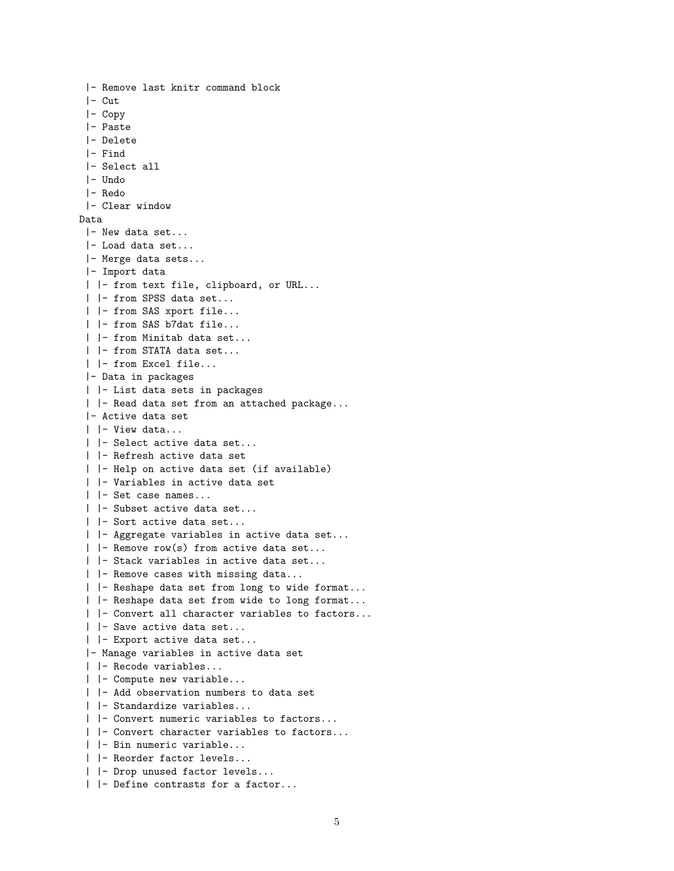```
|- Remove last knitr command block
 |- Cut
 |- Copy
 |- Paste
 |- Delete
 |- Find
 |- Select all
 |- Undo
 |- Redo
 |- Clear window
Data
 |- New data set...
 |- Load data set...
 |- Merge data sets...
 |- Import data
 | |- from text file, clipboard, or URL...
 | |- from SPSS data set...
 | |- from SAS xport file...
 | |- from SAS b7dat file...
 | |- from Minitab data set...
 | |- from STATA data set...
 | |- from Excel file...
 |- Data in packages
 | |- List data sets in packages
 | |- Read data set from an attached package...
 |- Active data set
 | |- View data...
 | |- Select active data set...
 | |- Refresh active data set
 | |- Help on active data set (if available)
 | |- Variables in active data set
 | |- Set case names...
 | |- Subset active data set...
 | |- Sort active data set...
 | |- Aggregate variables in active data set...
 | |- Remove row(s) from active data set...
 | |- Stack variables in active data set...
 | |- Remove cases with missing data...
 | |- Reshape data set from long to wide format...
 | |- Reshape data set from wide to long format...
 | |- Convert all character variables to factors...
 | |- Save active data set...
 | |- Export active data set...
 |- Manage variables in active data set
 | |- Recode variables...
 | |- Compute new variable...
 | |- Add observation numbers to data set
 | |- Standardize variables...
 | |- Convert numeric variables to factors...
 | |- Convert character variables to factors...
 | |- Bin numeric variable...
 | |- Reorder factor levels...
 | |- Drop unused factor levels...
 | |- Define contrasts for a factor...
```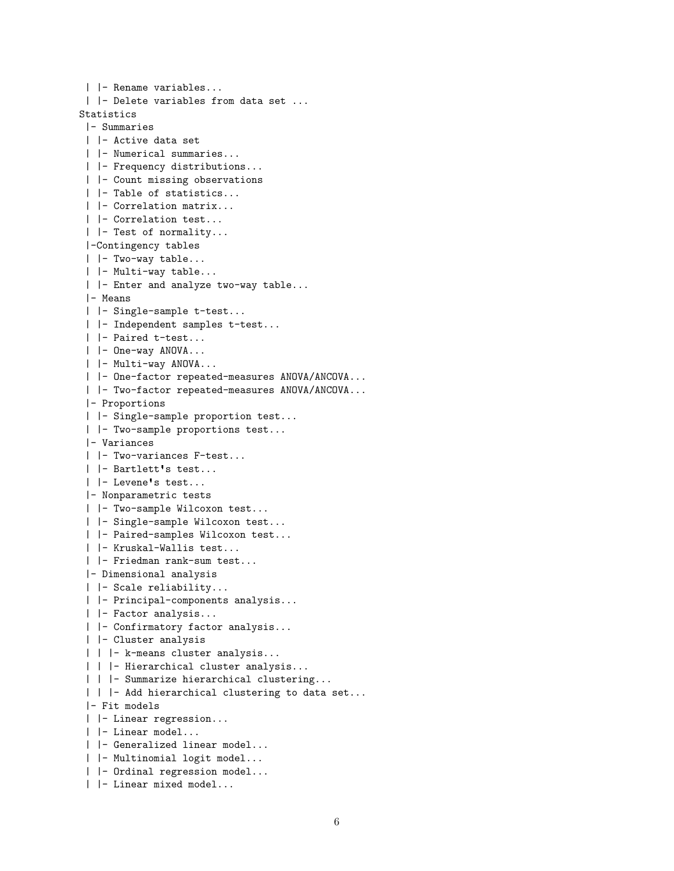```
| |- Rename variables...
 | |- Delete variables from data set ...
Statistics
 |- Summaries
 | |- Active data set
 | |- Numerical summaries...
 | |- Frequency distributions...
 | |- Count missing observations
 | |- Table of statistics...
 | |- Correlation matrix...
 | |- Correlation test...
 | |- Test of normality...
 |-Contingency tables
 | |- Two-way table...
 | |- Multi-way table...
 | |- Enter and analyze two-way table...
 |- Means
 | |- Single-sample t-test...
 | |- Independent samples t-test...
 | |- Paired t-test...
 | |- One-way ANOVA...
 | |- Multi-way ANOVA...
 | |- One-factor repeated-measures ANOVA/ANCOVA...
 | |- Two-factor repeated-measures ANOVA/ANCOVA...
 |- Proportions
 | |- Single-sample proportion test...
 | |- Two-sample proportions test...
 |- Variances
 | |- Two-variances F-test...
 | |- Bartlett s test...
 | |- Levene s test...
 |- Nonparametric tests
 | |- Two-sample Wilcoxon test...
 | |- Single-sample Wilcoxon test...
 | |- Paired-samples Wilcoxon test...
 | |- Kruskal-Wallis test...
 | |- Friedman rank-sum test...
 |- Dimensional analysis
 | |- Scale reliability...
 | |- Principal-components analysis...
 | |- Factor analysis...
 | |- Confirmatory factor analysis...
 | |- Cluster analysis
 | | |- k-means cluster analysis...
 | | |- Hierarchical cluster analysis...
 | | | - Summarize hierarchical clustering...
 | | |- Add hierarchical clustering to data set...
 |- Fit models
 | |- Linear regression...
 | |- Linear model...
 | |- Generalized linear model...
 | |- Multinomial logit model...
 | |- Ordinal regression model...
 | |- Linear mixed model...
```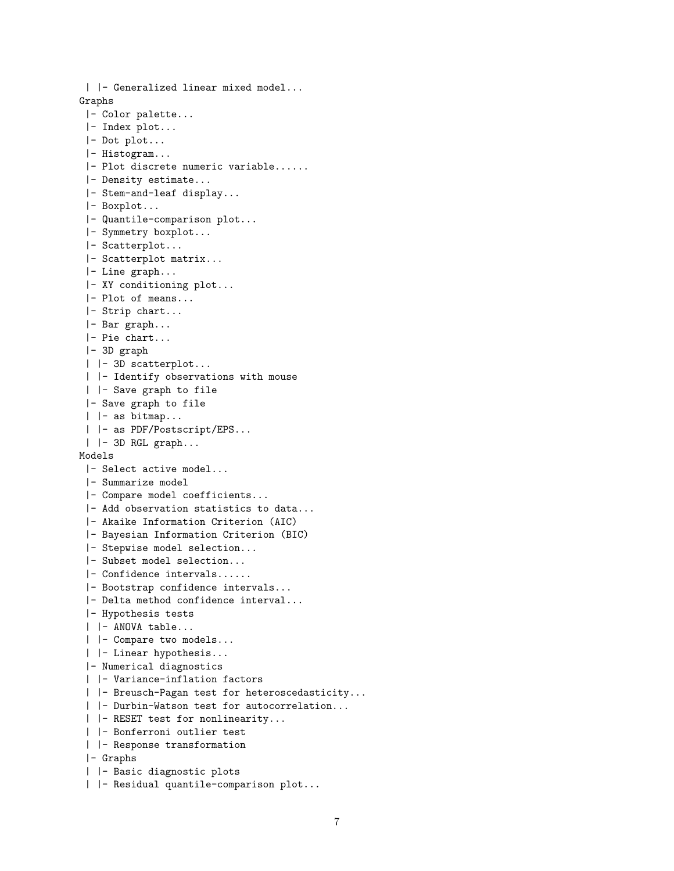```
| |- Generalized linear mixed model...
Graphs
 |- Color palette...
 |- Index plot...
 |- Dot plot...
 |- Histogram...
 |- Plot discrete numeric variable......
 |- Density estimate...
 |- Stem-and-leaf display...
 |- Boxplot...
 |- Quantile-comparison plot...
 |- Symmetry boxplot...
 |- Scatterplot...
 |- Scatterplot matrix...
 |- Line graph...
 |- XY conditioning plot...
 |- Plot of means...
 |- Strip chart...
 |- Bar graph...
 |- Pie chart...
 |- 3D graph
 | |- 3D scatterplot...
 | |- Identify observations with mouse
 | |- Save graph to file
 |- Save graph to file
 | |- as bitmap...
 | |- as PDF/Postscript/EPS...
 | |- 3D RGL graph...
Models
 |- Select active model...
 |- Summarize model
 |- Compare model coefficients...
 |- Add observation statistics to data...
 |- Akaike Information Criterion (AIC)
 |- Bayesian Information Criterion (BIC)
 |- Stepwise model selection...
 |- Subset model selection...
 |- Confidence intervals......
 |- Bootstrap confidence intervals...
 |- Delta method confidence interval...
 |- Hypothesis tests
 | |- ANOVA table...
 | |- Compare two models...
 | |- Linear hypothesis...
 |- Numerical diagnostics
 | |- Variance-inflation factors
 | |- Breusch-Pagan test for heteroscedasticity...
 | |- Durbin-Watson test for autocorrelation...
 | |- RESET test for nonlinearity...
 | |- Bonferroni outlier test
 | |- Response transformation
 |- Graphs
 | |- Basic diagnostic plots
 | |- Residual quantile-comparison plot...
```

```
7
```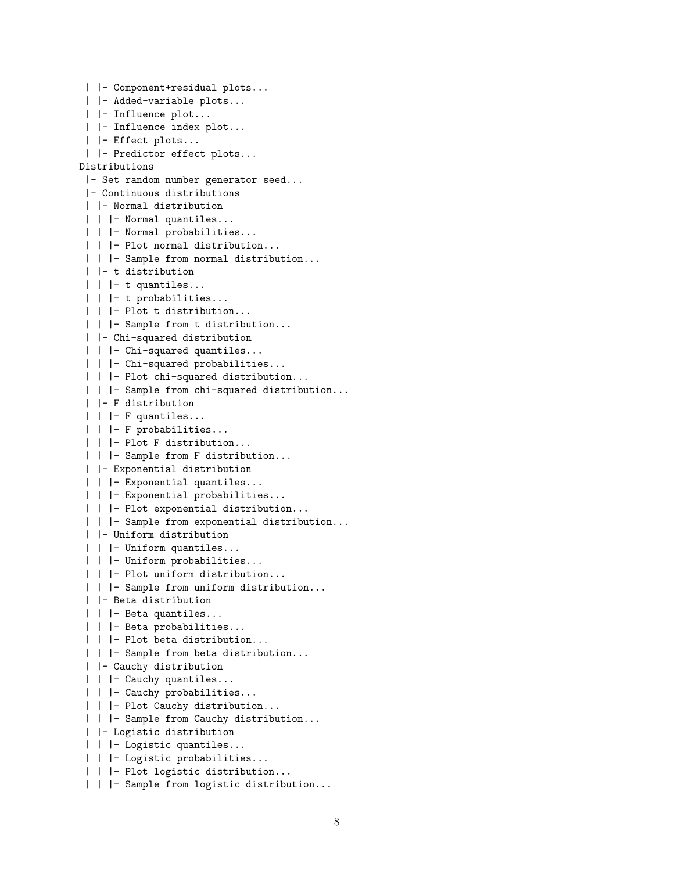```
| |- Component+residual plots...
 | |- Added-variable plots...
 | |- Influence plot...
 | |- Influence index plot...
 | |- Effect plots...
 | |- Predictor effect plots...
Distributions
 |- Set random number generator seed...
 |- Continuous distributions
 | |- Normal distribution
 | | |- Normal quantiles...
 | | |- Normal probabilities...
 | | |- Plot normal distribution...
 | | |- Sample from normal distribution...
 | |- t distribution
 | | |- t quantiles...
 | | |- t probabilities...
 | | |- Plot t distribution...
 | | |- Sample from t distribution...
 | |- Chi-squared distribution
 | | | - Chi-squared quantiles...
 | | |- Chi-squared probabilities...
 | | |- Plot chi-squared distribution...
 | | |- Sample from chi-squared distribution...
 | |- F distribution
 | | |- F quantiles...
 | | |- F probabilities...
 | | |- Plot F distribution...
 | | |- Sample from F distribution...
 | |- Exponential distribution
 | | |- Exponential quantiles...
 | | |- Exponential probabilities...
 | | |- Plot exponential distribution...
 | | |- Sample from exponential distribution...
 | |- Uniform distribution
 | | |- Uniform quantiles...
 | | |- Uniform probabilities...
 | | |- Plot uniform distribution...
 | | |- Sample from uniform distribution...
 | |- Beta distribution
 | | |- Beta quantiles...
 | | |- Beta probabilities...
 | | |- Plot beta distribution...
 | | |- Sample from beta distribution...
 | |- Cauchy distribution
 | | | - Cauchy quantiles...
 | | |- Cauchy probabilities...
 | | |- Plot Cauchy distribution...
 | | |- Sample from Cauchy distribution...
 | |- Logistic distribution
 | | |- Logistic quantiles...
 | | |- Logistic probabilities...
 | | |- Plot logistic distribution...
 | | |- Sample from logistic distribution...
```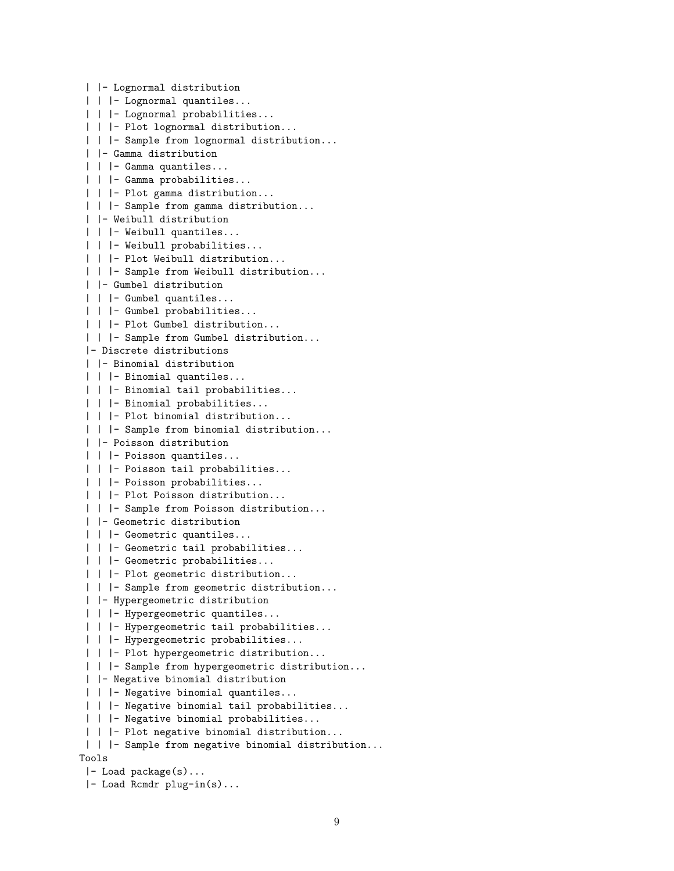```
| |- Lognormal distribution
 | | |- Lognormal quantiles...
 | | |- Lognormal probabilities...
 | | |- Plot lognormal distribution...
 | | |- Sample from lognormal distribution...
 | |- Gamma distribution
 | | |- Gamma quantiles...
 | | |- Gamma probabilities...
 | | |- Plot gamma distribution...
 | | |- Sample from gamma distribution...
 | |- Weibull distribution
 | | |- Weibull quantiles...
 | | |- Weibull probabilities...
 | | |- Plot Weibull distribution...
 | | |- Sample from Weibull distribution...
 | |- Gumbel distribution
 | | |- Gumbel quantiles...
 | | |- Gumbel probabilities...
 | | |- Plot Gumbel distribution...
 | | |- Sample from Gumbel distribution...
 |- Discrete distributions
 | |- Binomial distribution
 | | |- Binomial quantiles...
 | | |- Binomial tail probabilities...
 | | |- Binomial probabilities...
 | | |- Plot binomial distribution...
 | | |- Sample from binomial distribution...
 | |- Poisson distribution
 | | |- Poisson quantiles...
 | | |- Poisson tail probabilities...
 | | |- Poisson probabilities...
 | | |- Plot Poisson distribution...
 | | |- Sample from Poisson distribution...
 | |- Geometric distribution
 | | |- Geometric quantiles...
 | | |- Geometric tail probabilities...
 | | |- Geometric probabilities...
 | | |- Plot geometric distribution...
 | | |- Sample from geometric distribution...
 | |- Hypergeometric distribution
 | | |- Hypergeometric quantiles...
 | | |- Hypergeometric tail probabilities...
 | | |- Hypergeometric probabilities...
 | | |- Plot hypergeometric distribution...
 | | |- Sample from hypergeometric distribution...
 | |- Negative binomial distribution
 | | |- Negative binomial quantiles...
 | | |- Negative binomial tail probabilities...
 | | |- Negative binomial probabilities...
 | | |- Plot negative binomial distribution...
 | | |- Sample from negative binomial distribution...
Tools
 |- Load package(s)...
 |- Load Rcmdr plug-in(s)...
```
9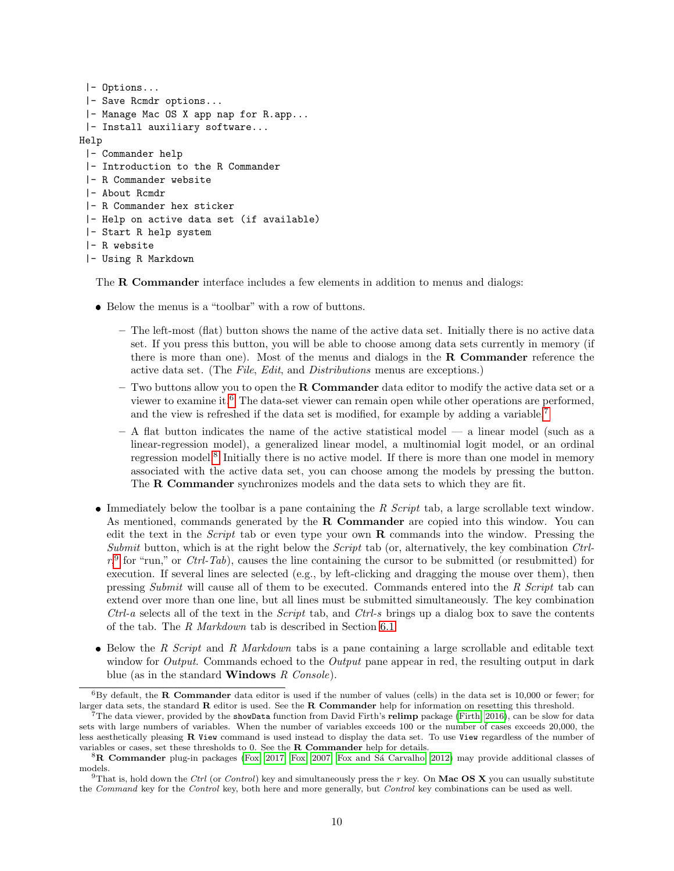```
|- Options...
 |- Save Rcmdr options...
 |- Manage Mac OS X app nap for R.app...
 |- Install auxiliary software...
Help
 |- Commander help
 |- Introduction to the R Commander
 |- R Commander website
 |- About Rcmdr
 |- R Commander hex sticker
 |- Help on active data set (if available)
 |- Start R help system
 |- R website
 |- Using R Markdown
```
The R Commander interface includes a few elements in addition to menus and dialogs:

- Below the menus is a "toolbar" with a row of buttons.
	- The left-most (flat) button shows the name of the active data set. Initially there is no active data set. If you press this button, you will be able to choose among data sets currently in memory (if there is more than one). Most of the menus and dialogs in the  $R$  Commander reference the active data set. (The *File*, *Edit*, and *Distributions* menus are exceptions.)
	- $-$  Two buttons allow you to open the **R Commander** data editor to modify the active data set or a viewer to examine it.[6](#page-9-0) The data-set viewer can remain open while other operations are performed, and the view is refreshed if the data set is modified, for example by adding a variable.[7](#page-9-1)
	- $-$  A flat button indicates the name of the active statistical model  $-$  a linear model (such as a linear-regression model), a generalized linear model, a multinomial logit model, or an ordinal regression model.<sup>[8](#page-9-2)</sup> Initially there is no active model. If there is more than one model in memory associated with the active data set, you can choose among the models by pressing the button. The **R** Commander synchronizes models and the data sets to which they are fit.
- Immediately below the toolbar is a pane containing the *R Script* tab, a large scrollable text window. As mentioned, commands generated by the  $R$  Commander are copied into this window. You can edit the text in the *Script* tab or even type your own R commands into the window. Pressing the *Submit* button, which is at the right below the *Script* tab (or, alternatively, the key combination *Ctrl* $r$ ,  $\int$  for "run," or *Ctrl-Tab*), causes the line containing the cursor to be submitted (or resubmitted) for execution. If several lines are selected (e.g., by left-clicking and dragging the mouse over them), then pressing *Submit* will cause all of them to be executed. Commands entered into the *R Script* tab can extend over more than one line, but all lines must be submitted simultaneously. The key combination *Ctrl-a* selects all of the text in the *Script* tab, and *Ctrl-s* brings up a dialog box to save the contents of the tab. The *R Markdown* tab is described in Section [6.1.](#page-23-0)
- Below the *R Script* and *R Markdown* tabs is a pane containing a large scrollable and editable text window for *Output*. Commands echoed to the *Output* pane appear in red, the resulting output in dark blue (as in the standard Windows *R Console*).

<span id="page-9-0"></span> $6By$  default, the R Commander data editor is used if the number of values (cells) in the data set is 10,000 or fewer; for larger data sets, the standard  **editor is used. See the**  $**R**$  **Commander help for information on resetting this threshold.** 

<span id="page-9-1"></span> $^{7}$ The data viewer, provided by the showData function from David Firth's relimp package [\(Firth, 2016\)](#page-27-6), can be slow for data sets with large numbers of variables. When the number of variables exceeds 100 or the number of cases exceeds 20,000, the less aesthetically pleasing R View command is used instead to display the data set. To use View regardless of the number of variables or cases, set these thresholds to 0. See the R Commander help for details.

<span id="page-9-2"></span><sup>&</sup>lt;sup>8</sup>R Commander plug-in packages [\(Fox, 2017;](#page-27-1) [Fox, 2007;](#page-27-4) Fox and Sá Carvalho, 2012) may provide additional classes of models.

<span id="page-9-3"></span><sup>&</sup>lt;sup>9</sup>That is, hold down the Ctrl (or Control) key and simultaneously press the r key. On Mac OS X you can usually substitute the Command key for the Control key, both here and more generally, but Control key combinations can be used as well.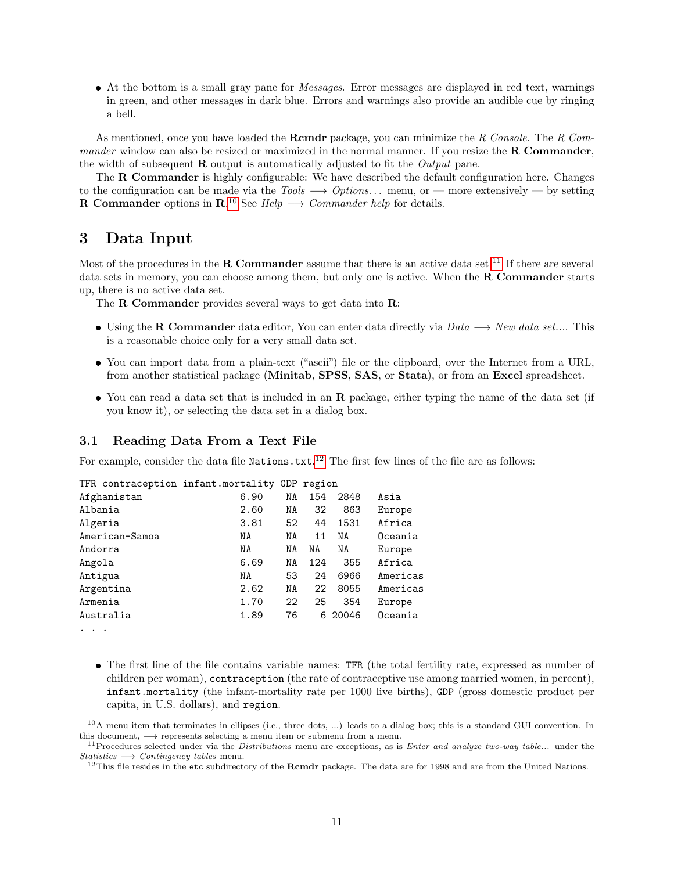At the bottom is a small gray pane for *Messages*. Error messages are displayed in red text, warnings in green, and other messages in dark blue. Errors and warnings also provide an audible cue by ringing a bell.

As mentioned, once you have loaded the Rcmdr package, you can minimize the *R Console*. The *R Commander* window can also be resized or maximized in the normal manner. If you resize the **R Commander**, the width of subsequent R output is automatically adjusted to fit the *Output* pane.

The **R Commander** is highly configurable: We have described the default configuration here. Changes to the configuration can be made via the *Tools* −→ *Options. . .* menu, or — more extensively — by setting **R** Commander options in  $\mathbb{R}^{10}$  $\mathbb{R}^{10}$  $\mathbb{R}^{10}$  See *Help*  $\longrightarrow$  *Commander help* for details.

## 3 Data Input

Most of the procedures in the **R Commander** assume that there is an active data set.<sup>[11](#page-10-1)</sup> If there are several data sets in memory, you can choose among them, but only one is active. When the **R Commander** starts up, there is no active data set.

The R Commander provides several ways to get data into R:

- Using the R Commander data editor, You can enter data directly via *Data* −→ *New data set...*. This is a reasonable choice only for a very small data set.
- You can import data from a plain-text ("ascii") file or the clipboard, over the Internet from a URL, from another statistical package (Minitab, SPSS, SAS, or Stata), or from an Excel spreadsheet.
- You can read a data set that is included in an **R** package, either typing the name of the data set (if you know it), or selecting the data set in a dialog box.

### 3.1 Reading Data From a Text File

For example, consider the data file  $Nationalization s.txt.<sup>12</sup>$  $Nationalization s.txt.<sup>12</sup>$  $Nationalization s.txt.<sup>12</sup>$  The first few lines of the file are as follows:

| TFR contraception infant.mortality GDP region |      |    |     |       |          |
|-----------------------------------------------|------|----|-----|-------|----------|
| Afghanistan                                   | 6.90 | ΝA | 154 | 2848  | Asia     |
| Albania                                       | 2.60 | NA | 32  | 863   | Europe   |
| Algeria                                       | 3.81 | 52 | 44  | 1531  | Africa   |
| American-Samoa                                | NA   | NA | 11  | NA    | Oceania  |
| Andorra                                       | NA   | NΑ | NA  | NA    | Europe   |
| Angola                                        | 6.69 | NA | 124 | 355   | Africa   |
| Antigua                                       | NA   | 53 | 24  | 6966  | Americas |
| Argentina                                     | 2.62 | ΝA | 22  | 8055  | Americas |
| Armenia                                       | 1.70 | 22 | 25  | 354   | Europe   |
| Australia                                     | 1.89 | 76 | 6   | 20046 | Oceania  |

- ...
	- The first line of the file contains variable names: TFR (the total fertility rate, expressed as number of children per woman), contraception (the rate of contraceptive use among married women, in percent), infant.mortality (the infant-mortality rate per 1000 live births), GDP (gross domestic product per capita, in U.S. dollars), and region.

<span id="page-10-0"></span> $10A$  menu item that terminates in ellipses (i.e., three dots, ...) leads to a dialog box; this is a standard GUI convention. In this document,  $\longrightarrow$  represents selecting a menu item or submenu from a menu.

<span id="page-10-1"></span><sup>&</sup>lt;sup>11</sup>Procedures selected under via the *Distributions* menu are exceptions, as is *Enter and analyze two-way table...* under the  $Statistics \longrightarrow Contingency tables$  menu.

<span id="page-10-2"></span><sup>&</sup>lt;sup>12</sup>This file resides in the etc subdirectory of the Rcmdr package. The data are for 1998 and are from the United Nations.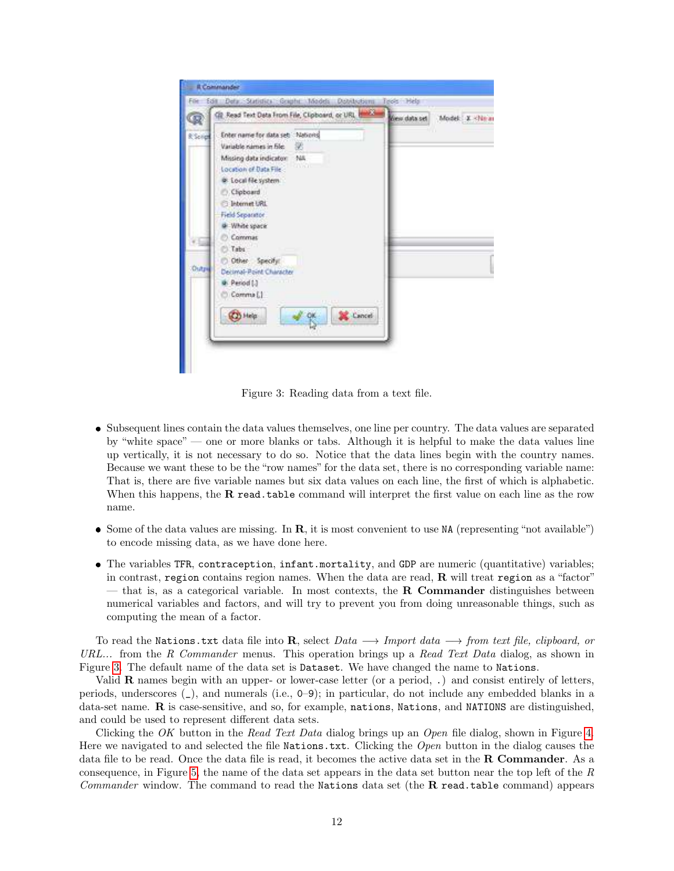| Q             | C2 Read Text Data From File, Clipboard, or URL Health                                                                                                                                                                                        | Gew data set Model: X <ne at<="" th=""></ne> |
|---------------|----------------------------------------------------------------------------------------------------------------------------------------------------------------------------------------------------------------------------------------------|----------------------------------------------|
| <b>KSoled</b> | Enter name for data set: Nations<br>Variable names in file:<br>æ<br>Missing data indicator: NA<br>mar<br>Location of Data File<br>@ Local file system<br>C. Clipboard<br><b>Elebernet URL</b><br>Field Separator<br>di White space<br>Commat |                                              |
| Distri        | Tabs<br>O Other Specify:<br>Decimal-Point Character<br>- - - - -<br><b>A</b> Period (3)<br>Comma []<br>11-15-1<br>Cancel<br><b>CD</b> Help                                                                                                   |                                              |

<span id="page-11-0"></span>Figure 3: Reading data from a text file.

- Subsequent lines contain the data values themselves, one line per country. The data values are separated by "white space" — one or more blanks or tabs. Although it is helpful to make the data values line up vertically, it is not necessary to do so. Notice that the data lines begin with the country names. Because we want these to be the "row names" for the data set, there is no corresponding variable name: That is, there are five variable names but six data values on each line, the first of which is alphabetic. When this happens, the  $R$  read.table command will interpret the first value on each line as the row name.
- $\bullet$  Some of the data values are missing. In  $\mathbf{R}$ , it is most convenient to use NA (representing "not available") to encode missing data, as we have done here.
- The variables TFR, contraception, infant.mortality, and GDP are numeric (quantitative) variables; in contrast, region contains region names. When the data are read,  $\bf{R}$  will treat region as a "factor" — that is, as a categorical variable. In most contexts, the **R** Commander distinguishes between numerical variables and factors, and will try to prevent you from doing unreasonable things, such as computing the mean of a factor.

To read the Nations.txt data file into R, select *Data* −→ *Import data* −→ *from text file, clipboard, or URL...* from the *R Commander* menus. This operation brings up a *Read Text Data* dialog, as shown in Figure [3.](#page-11-0) The default name of the data set is Dataset. We have changed the name to Nations.

Valid R names begin with an upper- or lower-case letter (or a period, .) and consist entirely of letters, periods, underscores (\_), and numerals (i.e., 0–9); in particular, do not include any embedded blanks in a data-set name. R is case-sensitive, and so, for example, nations, Nations, and NATIONS are distinguished, and could be used to represent different data sets.

Clicking the *OK* button in the *Read Text Data* dialog brings up an *Open* file dialog, shown in Figure [4.](#page-12-0) Here we navigated to and selected the file Nations.txt. Clicking the *Open* button in the dialog causes the data file to be read. Once the data file is read, it becomes the active data set in the R Commander. As a consequence, in Figure [5,](#page-13-0) the name of the data set appears in the data set button near the top left of the *R Commander* window. The command to read the Nations data set (the R read.table command) appears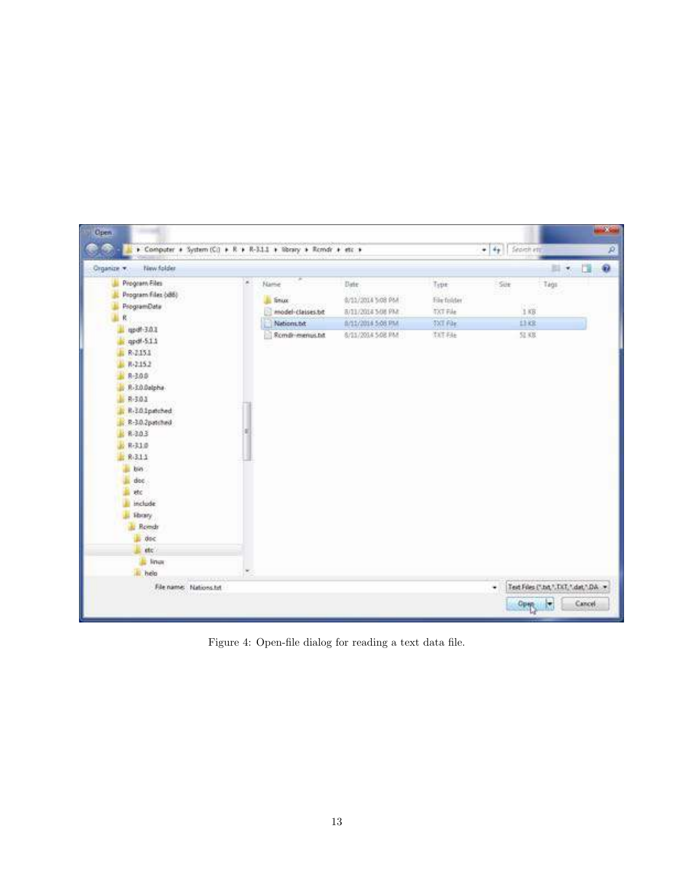<span id="page-12-0"></span>

Figure 4: Open-file dialog for reading a text data file.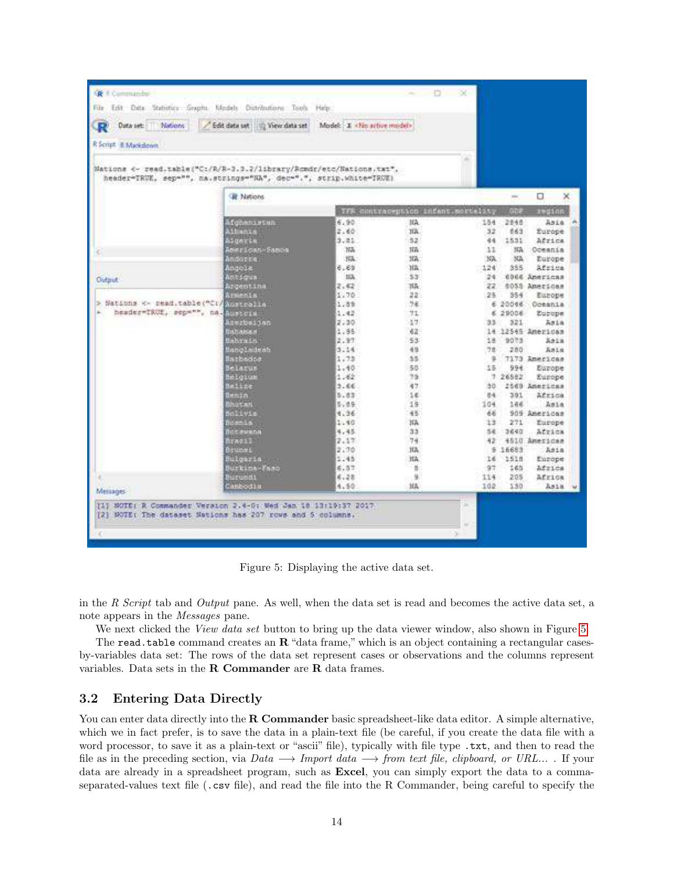| <b>GE Il Commando</b>                                                                                                                   |                                   |                            |                                        | $-38$  |              |                   |                |
|-----------------------------------------------------------------------------------------------------------------------------------------|-----------------------------------|----------------------------|----------------------------------------|--------|--------------|-------------------|----------------|
| File Erft Deta: Statistics Graphs. Models Distributions: Tools Help:                                                                    |                                   |                            |                                        |        |              |                   |                |
| Data set: [11] Nations<br>Œ.                                                                                                            | Edit data set (iii) View data set | Model: E «No active model» |                                        |        |              |                   |                |
| R Script. E Markdown                                                                                                                    |                                   |                            |                                        |        |              |                   |                |
| Mations <- read.table("C:/R/R-3.3.2/library/Romdr/etc/Nations.txt",<br>header-TRUE, sep-"", na.strings-"NA", dec-".", strip.white-TRUE) |                                   |                            |                                        |        |              |                   |                |
|                                                                                                                                         | <b>R</b> Nations                  |                            |                                        |        | m.           | 0                 | ×              |
|                                                                                                                                         |                                   |                            | TFR contraception infant mortality GDF |        |              | zegion            |                |
|                                                                                                                                         | Afghanistan                       | 6.90                       | HA:                                    | 154    | 2848         | Asia              | $\overline{a}$ |
|                                                                                                                                         | Aibenia.                          | 2.60                       | XX.                                    | 32     | 663          | Europe            |                |
|                                                                                                                                         | Aigeria                           | 3.81                       | 52                                     | 市场     | 1531         | Africa            |                |
|                                                                                                                                         | Inerscan-Sance                    | 35%                        | <b>IIA</b>                             | $11-$  | $30\text{A}$ | Oceania           |                |
|                                                                                                                                         | Andorsa                           | 1954                       | 1fA                                    | NA:    | 3D.          | Europe            |                |
|                                                                                                                                         | Andola.                           | 6.61                       | XR.                                    | $-124$ | 355          | Africa            |                |
| <b>Output</b>                                                                                                                           | Atlic signing                     | 35%                        | 55                                     | 24     |              | 6966 Americas     |                |
|                                                                                                                                         | Argentina                         | 2.62                       | Till.                                  | 22     |              | \$05S Americas    |                |
|                                                                                                                                         | Armeniai                          | 1.70                       | 22:                                    | 25     | 354          | Europe            |                |
| > Nations <- pead.table("Ct)                                                                                                            | Australia                         | 1.8%                       | 78                                     |        |              | 6 20046 Oceania   |                |
| header-TRUE, sep-"", na-huseous                                                                                                         |                                   | 1.42                       | 71                                     |        | 6.29008      | Eucope            |                |
|                                                                                                                                         | anciestral                        | 2.30                       | 17                                     | 33     | 321          | Asia              |                |
|                                                                                                                                         | <b>Bahabas</b>                    | 1.95                       | 62                                     |        |              | 14 12545 American |                |
|                                                                                                                                         | <b>Bahrain</b>                    | 2.97                       | 53                                     | 18.    | 9073         | Asia              |                |
|                                                                                                                                         | dampinde                          | 3.14                       | 49                                     | 78     | 280          | Asis              |                |
|                                                                                                                                         | <b>Barbados</b>                   | 1.73                       | 35                                     | ÷      |              | 7173 Americas     |                |
|                                                                                                                                         | <b>Belarus</b>                    | 1.40                       | 50                                     | $15-$  | 994          | Europe            |                |
|                                                                                                                                         | <b>Beloium</b>                    | 1.62                       | 75                                     |        | 7.26582      | Europe            |                |
|                                                                                                                                         | <b>Bailze</b>                     | 3.66                       | 47                                     | 30.    |              | 2569 Americas     |                |
|                                                                                                                                         | Denin :                           | 3.83                       | 16.                                    | 84     | 391          | Africa            |                |
|                                                                                                                                         | <b>Instruct</b>                   | 5, 89                      | 19                                     | 104    | 166          | Asia              |                |
|                                                                                                                                         | Sciivia                           | 4.36                       | 45                                     | 66     |              | 905 Americas      |                |
|                                                                                                                                         | Boania.                           | 1.40                       | Зä.                                    | 13     | $271 -$      | Europe            |                |
|                                                                                                                                         | <b>Iccovann</b>                   | 4.45                       | 33                                     | 54     | 3640         | . Africa          |                |
|                                                                                                                                         | Bracil <sup>1</sup>               | 2.17                       | 74                                     | 42     |              | 4510 Americas     |                |
|                                                                                                                                         | Brunell                           | 2.76                       | NA:                                    | s      | 16683        | Asia              |                |
|                                                                                                                                         | Bulgaria                          | 1.45                       | HA.                                    | 16     | 1518         | Europe            |                |
|                                                                                                                                         | Burkina-Faso                      | 6.57                       | ä                                      | 97     | 165          | Africa            |                |
|                                                                                                                                         | <b>Bircundi</b>                   | 6.28                       | 谨                                      | 114    | 205          | Africa            |                |
|                                                                                                                                         | anbodia.                          | 4.50                       | <b>MA</b>                              | 102    | 130          | Asia              |                |
| Messages-                                                                                                                               |                                   |                            |                                        |        |              |                   |                |
| [1] SOTE: R Commander Version 2.4-0: Wed Jan 10 13:19:37 2017<br>[2] NOTE: The dataset Nations has 207 rows and 5 columns.              |                                   |                            |                                        |        |              |                   |                |
|                                                                                                                                         |                                   |                            |                                        |        |              |                   |                |
|                                                                                                                                         |                                   |                            |                                        |        |              |                   |                |

<span id="page-13-0"></span>Figure 5: Displaying the active data set.

in the *R Script* tab and *Output* pane. As well, when the data set is read and becomes the active data set, a note appears in the *Messages* pane.

We next clicked the *View data set* button to bring up the data viewer window, also shown in Figure [5.](#page-13-0)

The read.table command creates an  $\bf{R}$  "data frame," which is an object containing a rectangular casesby-variables data set: The rows of the data set represent cases or observations and the columns represent variables. Data sets in the R Commander are R data frames.

### 3.2 Entering Data Directly

You can enter data directly into the **R Commander** basic spreadsheet-like data editor. A simple alternative, which we in fact prefer, is to save the data in a plain-text file (be careful, if you create the data file with a word processor, to save it as a plain-text or "ascii" file), typically with file type .txt, and then to read the file as in the preceding section, via  $Data \longrightarrow$  *Import data*  $\longrightarrow$  *from text file, clipboard, or URL...*. If your data are already in a spreadsheet program, such as **Excel**, you can simply export the data to a commaseparated-values text file (.csv file), and read the file into the R Commander, being careful to specify the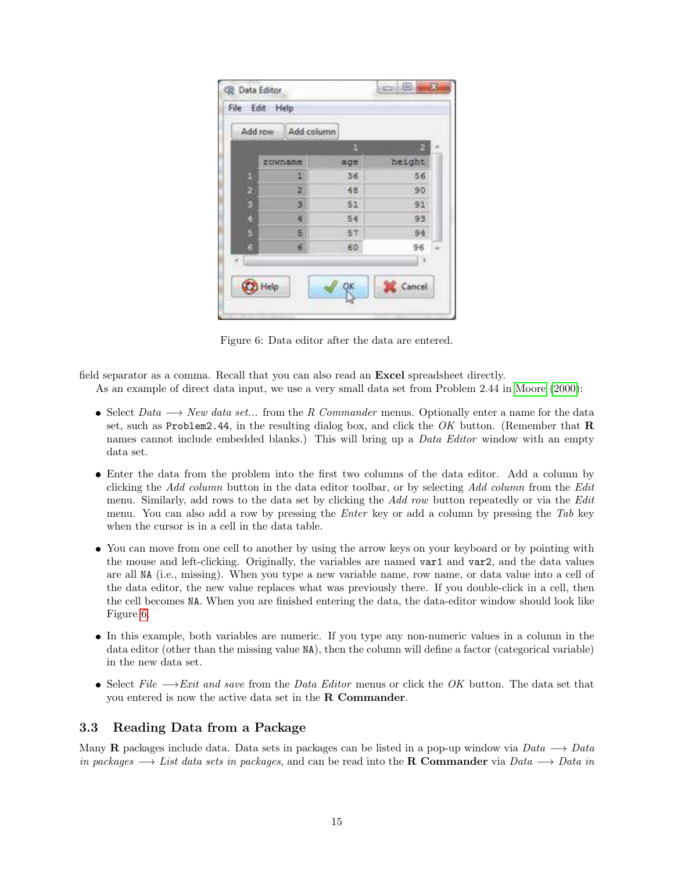|               | Add column<br>Add row | 凧     | æ        |
|---------------|-----------------------|-------|----------|
|               | rownane:              | age   | height   |
| ä.            | 11                    | 36    | 56       |
|               | 2.                    | $-46$ | 90       |
| $\frac{2}{3}$ | 31                    | 51    | 91       |
| O             | a.                    | 54    | 93       |
| 5             | 5.                    | 57    | 94       |
| G<br>e Li     | 6                     | 60    | 96<br>L. |

<span id="page-14-0"></span>Figure 6: Data editor after the data are entered.

field separator as a comma. Recall that you can also read an Excel spreadsheet directly.

As an example of direct data input, we use a very small data set from Problem 2.44 in [Moore \(2000\)](#page-27-7):

- Select *Data* −→ *New data set...* from the *R Commander* menus. Optionally enter a name for the data set, such as Problem2.44, in the resulting dialog box, and click the *OK* button. (Remember that R names cannot include embedded blanks.) This will bring up a *Data Editor* window with an empty data set.
- Enter the data from the problem into the first two columns of the data editor. Add a column by clicking the *Add column* button in the data editor toolbar, or by selecting *Add column* from the *Edit* menu. Similarly, add rows to the data set by clicking the *Add row* button repeatedly or via the *Edit* menu. You can also add a row by pressing the *Enter* key or add a column by pressing the *Tab* key when the cursor is in a cell in the data table.
- You can move from one cell to another by using the arrow keys on your keyboard or by pointing with the mouse and left-clicking. Originally, the variables are named var1 and var2, and the data values are all NA (i.e., missing). When you type a new variable name, row name, or data value into a cell of the data editor, the new value replaces what was previously there. If you double-click in a cell, then the cell becomes NA. When you are finished entering the data, the data-editor window should look like Figure [6.](#page-14-0)
- In this example, both variables are numeric. If you type any non-numeric values in a column in the data editor (other than the missing value NA), then the column will define a factor (categorical variable) in the new data set.
- Select *File* −→*Exit and save* from the *Data Editor* menus or click the *OK* button. The data set that you entered is now the active data set in the R Commander.

## <span id="page-14-1"></span>3.3 Reading Data from a Package

Many R packages include data. Data sets in packages can be listed in a pop-up window via *Data* −→ *Data in packages* −→ *List data sets in packages*, and can be read into the R Commander via *Data* −→ *Data in*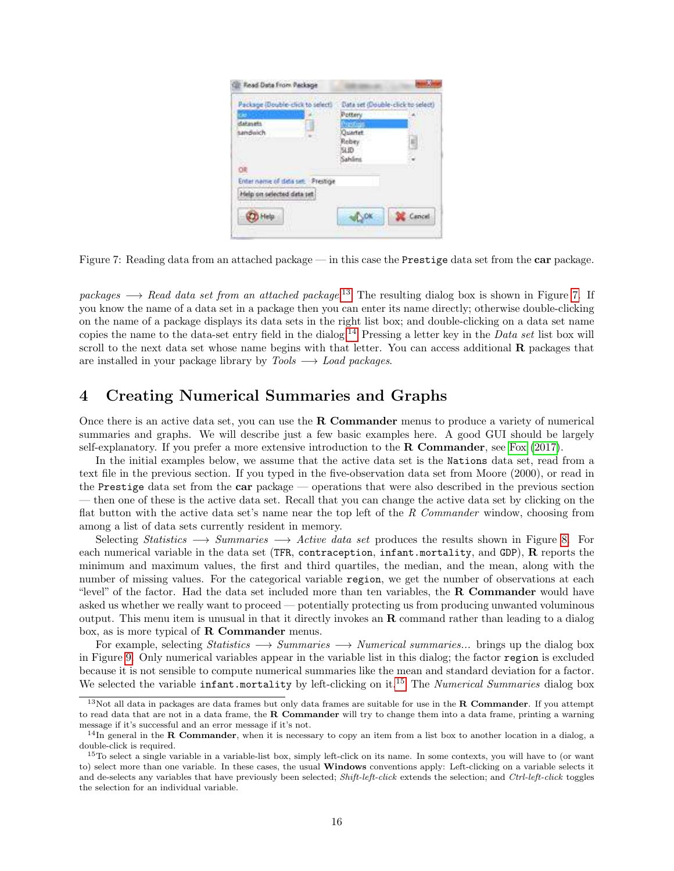| Package (Double-click to select)   | Data set (Double-click to select |  |
|------------------------------------|----------------------------------|--|
|                                    | Pottery                          |  |
| datasets                           |                                  |  |
| landwich                           | Quartet                          |  |
| 732262                             | Robey                            |  |
|                                    | SLID:<br>Sahilini                |  |
|                                    |                                  |  |
| Enter name of data set: : Prestige |                                  |  |
| felp on selected data set          |                                  |  |
| Meta                               |                                  |  |

<span id="page-15-1"></span>Figure 7: Reading data from an attached package — in this case the Prestige data set from the car package.

*packages* −→ *Read data set from an attached package*. [13](#page-15-0) The resulting dialog box is shown in Figure [7.](#page-15-1) If you know the name of a data set in a package then you can enter its name directly; otherwise double-clicking on the name of a package displays its data sets in the right list box; and double-clicking on a data set name copies the name to the data-set entry field in the dialog.[14](#page-15-2) Pressing a letter key in the *Data set* list box will scroll to the next data set whose name begins with that letter. You can access additional  $\bf{R}$  packages that are installed in your package library by *Tools* −→ *Load packages*.

## 4 Creating Numerical Summaries and Graphs

Once there is an active data set, you can use the R Commander menus to produce a variety of numerical summaries and graphs. We will describe just a few basic examples here. A good GUI should be largely self-explanatory. If you prefer a more extensive introduction to the **R Commander**, see [Fox \(2017\)](#page-27-1).

In the initial examples below, we assume that the active data set is the Nations data set, read from a text file in the previous section. If you typed in the five-observation data set from Moore (2000), or read in the Prestige data set from the car package — operations that were also described in the previous section — then one of these is the active data set. Recall that you can change the active data set by clicking on the flat button with the active data set's name near the top left of the *R Commander* window, choosing from among a list of data sets currently resident in memory.

Selecting *Statistics* −→ *Summaries* −→ *Active data set* produces the results shown in Figure [8.](#page-16-0) For each numerical variable in the data set (TFR, contraception, infant.mortality, and GDP), R reports the minimum and maximum values, the first and third quartiles, the median, and the mean, along with the number of missing values. For the categorical variable region, we get the number of observations at each "level" of the factor. Had the data set included more than ten variables, the **R Commander** would have asked us whether we really want to proceed — potentially protecting us from producing unwanted voluminous output. This menu item is unusual in that it directly invokes an  **command rather than leading to a dialog** box, as is more typical of R Commander menus.

For example, selecting *Statistics* −→ *Summaries* −→ *Numerical summaries...* brings up the dialog box in Figure [9.](#page-16-1) Only numerical variables appear in the variable list in this dialog; the factor region is excluded because it is not sensible to compute numerical summaries like the mean and standard deviation for a factor. We selected the variable infant.mortality by left-clicking on it.[15](#page-15-3) The *Numerical Summaries* dialog box

<span id="page-15-0"></span> $13$ Not all data in packages are data frames but only data frames are suitable for use in the **R Commander**. If you attempt to read data that are not in a data frame, the R Commander will try to change them into a data frame, printing a warning message if it's successful and an error message if it's not.

<span id="page-15-2"></span> $14$ In general in the R Commander, when it is necessary to copy an item from a list box to another location in a dialog, a double-click is required.

<span id="page-15-3"></span> $15T\sigma$  select a single variable in a variable-list box, simply left-click on its name. In some contexts, you will have to (or want to) select more than one variable. In these cases, the usual Windows conventions apply: Left-clicking on a variable selects it and de-selects any variables that have previously been selected; Shift-left-click extends the selection; and Ctrl-left-click toggles the selection for an individual variable.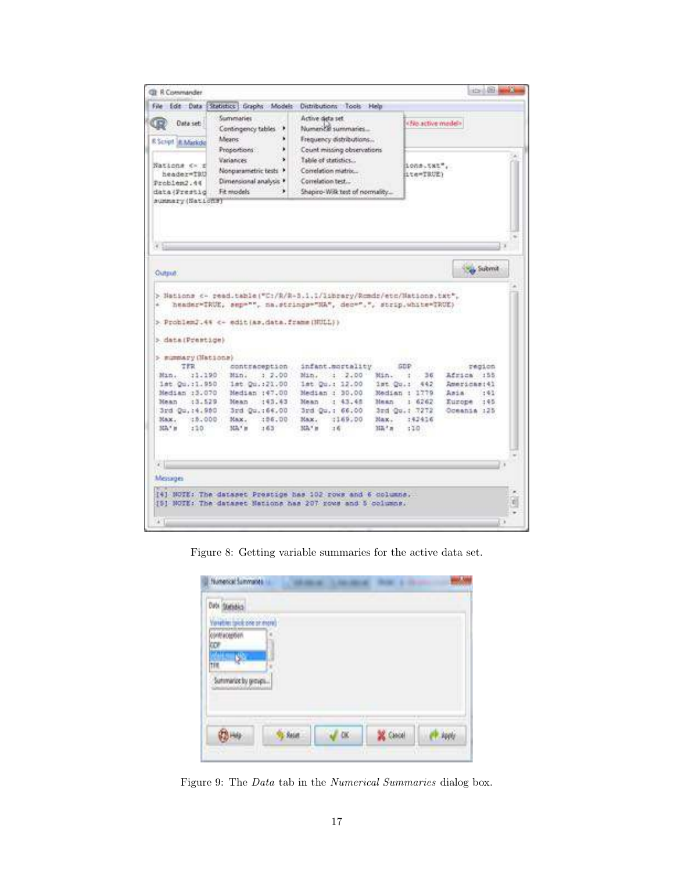| Summaries<br>Active deta set<br>Data set:<br>· Boardwe madels<br>Numerical summaries<br>Contingency tables<br>٠<br><b>Means:</b><br>٠<br>Frequency distributions<br>R. Script R. Markele<br>Proportions :<br>٠<br>Count missing observations<br><b>Variances</b><br>Table of statistics<br>Nations (K)<br>lons.txt",<br>Nonparametric tests<br>Correlation miatrix<br>header=TBU<br>ite=TRUE><br>Dimensional analysis *<br>Correlation test<br>Fit models:<br>Shapiro-Wilk test of normality<br><b>Submit</b><br>heads:"IRUE, sep="", na.strings="NA", dec=".", strip.white=TRUE)<br>infant.mortality<br>TER<br>contraception<br><b>GDP</b><br><b>Allen Street</b><br>1.114<br>Min. : 2.00<br>Africa : 155<br>3.2.00<br>Min. : 36<br>Min.<br>1st Qu. : 21.00<br>1st Qu.: 12.00<br>ist Qu.:<br>Remoticant41<br>442<br>Median :47.00<br>Median : 30.00<br>Median : 1779<br>Ania.<br>1:41<br>Mean : 43.43<br>Mean : 43.45<br>Maan<br>1.6262<br>Europe : 45<br>3rd Qu.:64.00<br>3rd Qu.: 66.00<br>3rd Qu.: 7272<br>Oceania :25<br>:06.00<br>1169.00<br>Max.<br>:42416<br>Max.<br>Max.<br>220<br>312.7 m<br>MA <sup>+</sup> H<br>163<br>MA <sup>+</sup> H<br>16<br>110 | File Edit Data | Statistics Graphs Models | Distributions Tools Help |  |
|-------------------------------------------------------------------------------------------------------------------------------------------------------------------------------------------------------------------------------------------------------------------------------------------------------------------------------------------------------------------------------------------------------------------------------------------------------------------------------------------------------------------------------------------------------------------------------------------------------------------------------------------------------------------------------------------------------------------------------------------------------------------------------------------------------------------------------------------------------------------------------------------------------------------------------------------------------------------------------------------------------------------------------------------------------------------------------------------------------------------------------------------------------------------|----------------|--------------------------|--------------------------|--|
| Problem2.44<br>data (Frestig<br>summary (National                                                                                                                                                                                                                                                                                                                                                                                                                                                                                                                                                                                                                                                                                                                                                                                                                                                                                                                                                                                                                                                                                                                 |                |                          |                          |  |
|                                                                                                                                                                                                                                                                                                                                                                                                                                                                                                                                                                                                                                                                                                                                                                                                                                                                                                                                                                                                                                                                                                                                                                   |                |                          |                          |  |
| Outstaff.<br>> Nations <- read.table("C:/R/R-3.1.1/Iibrary/Remdr/etc/Nations.txt",<br>> ProblemJ.4% << edit (as.data.frame (NULL) ><br>> dataiPrestion)<br>> mummary (Nations)<br>Min. 11.190<br>1st Qu. : 1, 950<br>Median :3.070                                                                                                                                                                                                                                                                                                                                                                                                                                                                                                                                                                                                                                                                                                                                                                                                                                                                                                                                |                |                          |                          |  |
|                                                                                                                                                                                                                                                                                                                                                                                                                                                                                                                                                                                                                                                                                                                                                                                                                                                                                                                                                                                                                                                                                                                                                                   |                |                          |                          |  |
|                                                                                                                                                                                                                                                                                                                                                                                                                                                                                                                                                                                                                                                                                                                                                                                                                                                                                                                                                                                                                                                                                                                                                                   |                |                          |                          |  |
|                                                                                                                                                                                                                                                                                                                                                                                                                                                                                                                                                                                                                                                                                                                                                                                                                                                                                                                                                                                                                                                                                                                                                                   |                |                          |                          |  |
|                                                                                                                                                                                                                                                                                                                                                                                                                                                                                                                                                                                                                                                                                                                                                                                                                                                                                                                                                                                                                                                                                                                                                                   |                |                          |                          |  |
|                                                                                                                                                                                                                                                                                                                                                                                                                                                                                                                                                                                                                                                                                                                                                                                                                                                                                                                                                                                                                                                                                                                                                                   |                |                          |                          |  |
|                                                                                                                                                                                                                                                                                                                                                                                                                                                                                                                                                                                                                                                                                                                                                                                                                                                                                                                                                                                                                                                                                                                                                                   |                |                          |                          |  |
|                                                                                                                                                                                                                                                                                                                                                                                                                                                                                                                                                                                                                                                                                                                                                                                                                                                                                                                                                                                                                                                                                                                                                                   |                |                          |                          |  |
| Mean : :3.529<br>3rd Qu. 14,950<br>Max. : 5.000                                                                                                                                                                                                                                                                                                                                                                                                                                                                                                                                                                                                                                                                                                                                                                                                                                                                                                                                                                                                                                                                                                                   |                |                          |                          |  |
| MA'n<br>Messages<br>[4] NOTE: The dataset Prestige has 102 rows and 6 dolumns,<br>IS! NOTE: The dataset Mations has 207 yous and 5 columns.                                                                                                                                                                                                                                                                                                                                                                                                                                                                                                                                                                                                                                                                                                                                                                                                                                                                                                                                                                                                                       |                |                          |                          |  |
|                                                                                                                                                                                                                                                                                                                                                                                                                                                                                                                                                                                                                                                                                                                                                                                                                                                                                                                                                                                                                                                                                                                                                                   |                |                          |                          |  |
|                                                                                                                                                                                                                                                                                                                                                                                                                                                                                                                                                                                                                                                                                                                                                                                                                                                                                                                                                                                                                                                                                                                                                                   |                |                          |                          |  |
|                                                                                                                                                                                                                                                                                                                                                                                                                                                                                                                                                                                                                                                                                                                                                                                                                                                                                                                                                                                                                                                                                                                                                                   |                |                          |                          |  |
|                                                                                                                                                                                                                                                                                                                                                                                                                                                                                                                                                                                                                                                                                                                                                                                                                                                                                                                                                                                                                                                                                                                                                                   |                |                          |                          |  |
|                                                                                                                                                                                                                                                                                                                                                                                                                                                                                                                                                                                                                                                                                                                                                                                                                                                                                                                                                                                                                                                                                                                                                                   |                |                          |                          |  |
|                                                                                                                                                                                                                                                                                                                                                                                                                                                                                                                                                                                                                                                                                                                                                                                                                                                                                                                                                                                                                                                                                                                                                                   |                |                          |                          |  |
|                                                                                                                                                                                                                                                                                                                                                                                                                                                                                                                                                                                                                                                                                                                                                                                                                                                                                                                                                                                                                                                                                                                                                                   |                |                          |                          |  |

Figure 8: Getting variable summaries for the active data set.

<span id="page-16-0"></span>

| w                   |  |  |
|---------------------|--|--|
|                     |  |  |
| 1111                |  |  |
| Sutmarize by groups |  |  |

<span id="page-16-1"></span>Figure 9: The *Data* tab in the *Numerical Summaries* dialog box.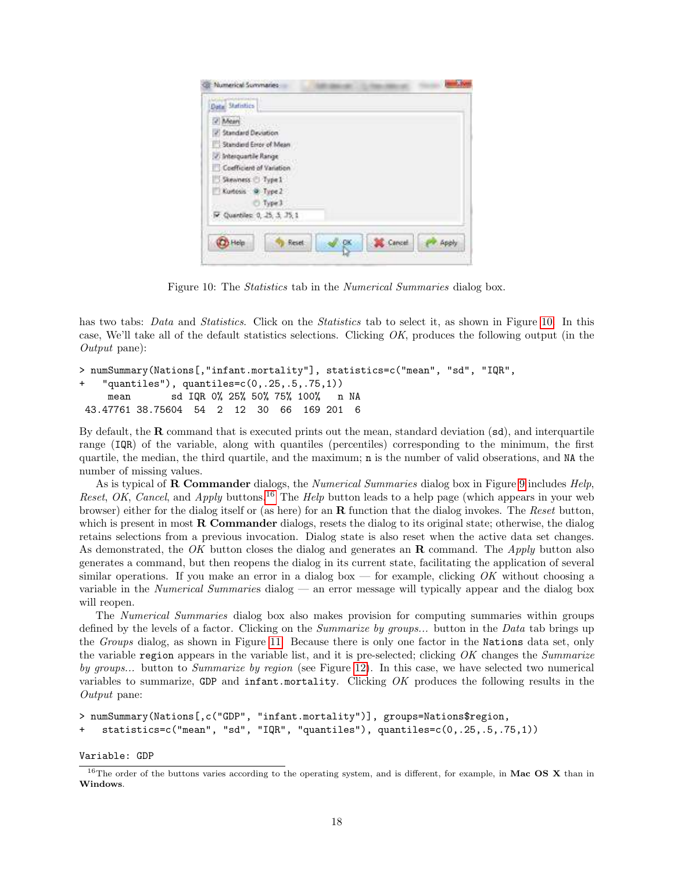| Mean                          |  |  |
|-------------------------------|--|--|
| 2 Standard Deviation          |  |  |
| Standard Error of Mean        |  |  |
| 2. Interquartile Range        |  |  |
| Coefficient of Variation      |  |  |
| Skewness Type I               |  |  |
| Kuntosis @ Type 2             |  |  |
| Type 3                        |  |  |
| 7. Quartiles: 0, 25, 3, 25, 1 |  |  |

<span id="page-17-0"></span>Figure 10: The *Statistics* tab in the *Numerical Summaries* dialog box.

has two tabs: *Data* and *Statistics*. Click on the *Statistics* tab to select it, as shown in Figure [10.](#page-17-0) In this case, We'll take all of the default statistics selections. Clicking *OK*, produces the following output (in the *Output* pane):

```
> numSummary(Nations[,"infant.mortality"], statistics=c("mean", "sd", "IQR",
    "quantiles"), quantiles = c(0, .25, .5, .75, 1)mean sd IQR 0% 25% 50% 75% 100% n NA
43.47761 38.75604 54 2 12 30 66 169 201 6
```
By default, the  $\bf{R}$  command that is executed prints out the mean, standard deviation  $(\text{sd})$ , and interquartile range (IQR) of the variable, along with quantiles (percentiles) corresponding to the minimum, the first quartile, the median, the third quartile, and the maximum; n is the number of valid obserations, and NA the number of missing values.

As is typical of R Commander dialogs, the *Numerical Summaries* dialog box in Figure [9](#page-16-1) includes *Help*, *Reset*, *OK*, *Cancel*, and *Apply* buttons.[16](#page-17-1) The *Help* button leads to a help page (which appears in your web browser) either for the dialog itself or (as here) for an R function that the dialog invokes. The *Reset* button, which is present in most **R** Commander dialogs, resets the dialog to its original state; otherwise, the dialog retains selections from a previous invocation. Dialog state is also reset when the active data set changes. As demonstrated, the *OK* button closes the dialog and generates an R command. The *Apply* button also generates a command, but then reopens the dialog in its current state, facilitating the application of several similar operations. If you make an error in a dialog box — for example, clicking *OK* without choosing a variable in the *Numerical Summarie*s dialog — an error message will typically appear and the dialog box will reopen.

The *Numerical Summaries* dialog box also makes provision for computing summaries within groups defined by the levels of a factor. Clicking on the *Summarize by groups...* button in the *Data* tab brings up the *Groups* dialog, as shown in Figure [11.](#page-18-0) Because there is only one factor in the Nations data set, only the variable region appears in the variable list, and it is pre-selected; clicking *OK* changes the *Summarize by groups...* button to *Summarize by region* (see Figure [12\)](#page-18-1). In this case, we have selected two numerical variables to summarize, GDP and infant.mortality. Clicking *OK* produces the following results in the *Output* pane:

```
> numSummary(Nations[,c("GDP", "infant.mortality")], groups=Nations$region,
    statistics=c("mean", "sd", "IQR", "quantiles"), quantiles=c(0,.25,.5,.75,1))
```
Variable: GDP

<span id="page-17-1"></span><sup>&</sup>lt;sup>16</sup>The order of the buttons varies according to the operating system, and is different, for example, in **Mac OS X** than in Windows.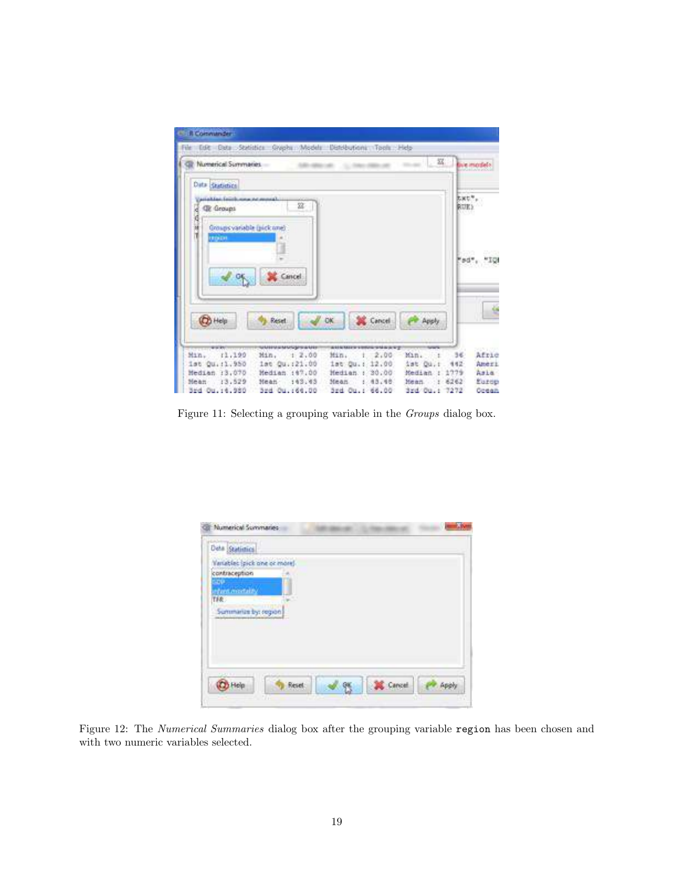| Numerical Summaries                                   |                                  |                                           | $-32$                     | dive inscrite         |
|-------------------------------------------------------|----------------------------------|-------------------------------------------|---------------------------|-----------------------|
| Data statistics                                       |                                  |                                           |                           |                       |
| (ariables feurlows no month)<br><b>Qt</b> Groups<br>æ | 盆                                |                                           |                           | Bart",<br><b>RUEY</b> |
| X<br>Groups variable (pick ane)                       |                                  |                                           |                           |                       |
| <b>URDERE</b>                                         |                                  |                                           |                           |                       |
|                                                       |                                  |                                           |                           | 50", "IO              |
|                                                       |                                  |                                           |                           |                       |
|                                                       |                                  |                                           |                           |                       |
|                                                       | Cancel:                          |                                           |                           |                       |
|                                                       |                                  |                                           |                           |                       |
| <b>B</b> Help                                         | Reset                            | <b>SK</b> Cancel<br>DK.                   | Apply                     |                       |
|                                                       |                                  |                                           |                           |                       |
| www.<br>Min. :1,199                                   | uumustuumuum<br>Min. 1 2.00      | <b>AUSTRIAN PROVIDENCE</b><br>Min. 1 2.00 | Min. i                    | Afrie<br>36           |
| ist Qu.:1.950<br>Median 13.070                        | 1st Qu. (21.00<br>Median : 47,00 | ist Qu.: 12.00<br>Hedian : 30.00          | ist Ou.t<br>Median : 1779 | Ameri<br>442<br>Asia. |

<span id="page-18-0"></span>Figure 11: Selecting a grouping variable in the *Groups* dialog box.

| Numerical Summaries           |        |  |
|-------------------------------|--------|--|
| Deta Statistics               |        |  |
| Variables (pick one or more)  |        |  |
| contraception                 |        |  |
| <b>STAR</b><br>clant modality |        |  |
| TAR.<br>33                    |        |  |
| Summarize by: region          |        |  |
|                               |        |  |
|                               |        |  |
|                               |        |  |
|                               |        |  |
|                               |        |  |
| Reset                         | Cancel |  |
| Уñ                            | w      |  |

<span id="page-18-1"></span>Figure 12: The *Numerical Summaries* dialog box after the grouping variable region has been chosen and with two numeric variables selected.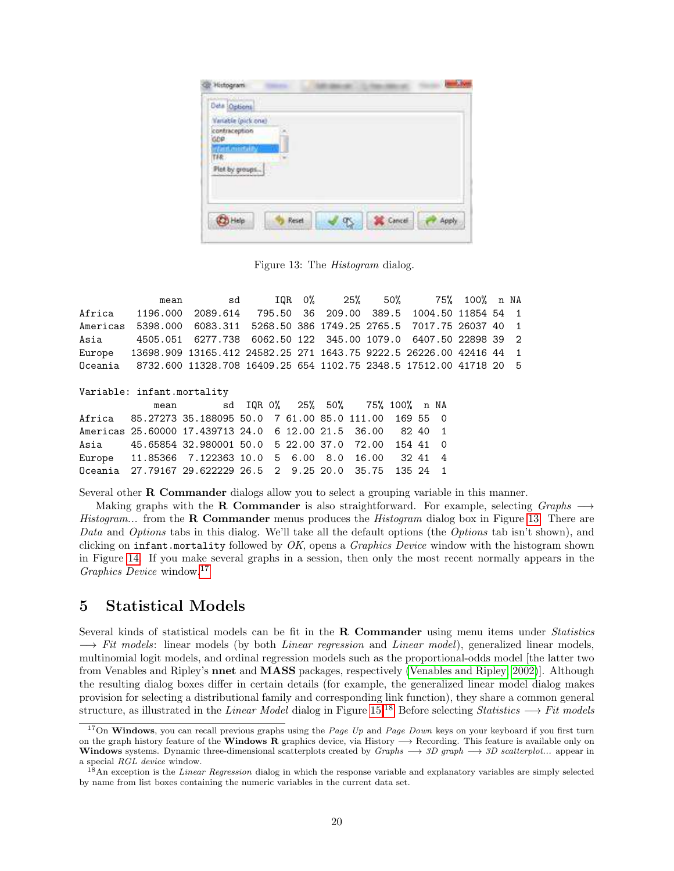| Deta Options                                                                                   |       |  |        |  |
|------------------------------------------------------------------------------------------------|-------|--|--------|--|
| Variable (pick one)<br>contraception<br><b>GDP</b><br><b>distant</b><br>TFR.<br>Plot by groups |       |  |        |  |
| <b>CO</b> Help                                                                                 | Reset |  | Cancel |  |

<span id="page-19-0"></span>Figure 13: The *Histogram* dialog.

mean sd IQR 0% 25% 50% 75% 100% n NA Africa 1196.000 2089.614 795.50 36 209.00 389.5 1004.50 11854 54 1 Americas 5398.000 6083.311 5268.50 386 1749.25 2765.5 7017.75 26037 40 1 Asia 4505.051 6277.738 6062.50 122 345.00 1079.0 6407.50 22898 39 2 Europe 13698.909 13165.412 24582.25 271 1643.75 9222.5 26226.00 42416 44 1 Oceania 8732.600 11328.708 16409.25 654 1102.75 2348.5 17512.00 41718 20 5

Variable: infant.mortality

| mean |                                                             |  |  | sd IQR 0% 25% 50% 75% 100% n NA |  |  |
|------|-------------------------------------------------------------|--|--|---------------------------------|--|--|
|      | Africa 85.27273 35.188095 50.0 7 61.00 85.0 111.00 169 55 0 |  |  |                                 |  |  |
|      | Americas 25.60000 17.439713 24.0 6 12.00 21.5 36.00 82 40 1 |  |  |                                 |  |  |
|      | Asia 45.65854 32.980001 50.0 5 22.00 37.0 72.00 154 41 0    |  |  |                                 |  |  |
|      | Europe 11.85366 7.122363 10.0 5 6.00 8.0 16.00 32 41 4      |  |  |                                 |  |  |
|      | Oceania 27.79167 29.622229 26.5 2 9.25 20.0 35.75 135 24 1  |  |  |                                 |  |  |

Several other R Commander dialogs allow you to select a grouping variable in this manner.

Making graphs with the **R** Commander is also straightforward. For example, selecting *Graphs*  $\longrightarrow$ *Histogram...* from the **R Commander** menus produces the *Histogram* dialog box in Figure [13.](#page-19-0) There are *Data* and *Options* tabs in this dialog. We'll take all the default options (the *Options* tab isn't shown), and clicking on infant.mortality followed by *OK*, opens a *Graphics Device* window with the histogram shown in Figure [14.](#page-20-0) If you make several graphs in a session, then only the most recent normally appears in the *Graphics Device* window.[17](#page-19-1)

## 5 Statistical Models

Several kinds of statistical models can be fit in the R Commander using menu items under *Statistics* −→ *Fit models*: linear models (by both *Linear regression* and *Linear model*), generalized linear models, multinomial logit models, and ordinal regression models such as the proportional-odds model [the latter two from Venables and Ripley's nnet and MASS packages, respectively [\(Venables and Ripley, 2002\)](#page-27-8)]. Although the resulting dialog boxes differ in certain details (for example, the generalized linear model dialog makes provision for selecting a distributional family and corresponding link function), they share a common general structure, as illustrated in the *Linear Model* dialog in Figure [15.](#page-21-0)[18](#page-19-2) Before selecting *Statistics* −→ *Fit models*

<span id="page-19-1"></span><sup>&</sup>lt;sup>17</sup>On Windows, you can recall previous graphs using the *Page Up* and *Page Down* keys on your keyboard if you first turn on the graph history feature of the Windows R graphics device, via History  $\rightarrow$  Recording. This feature is available only on Windows systems. Dynamic three-dimensional scatterplots created by Graphs  $\rightarrow$  3D graph  $\rightarrow$  3D scatterplot... appear in a special RGL device window.

<span id="page-19-2"></span> $18$ An exception is the *Linear Regression* dialog in which the response variable and explanatory variables are simply selected by name from list boxes containing the numeric variables in the current data set.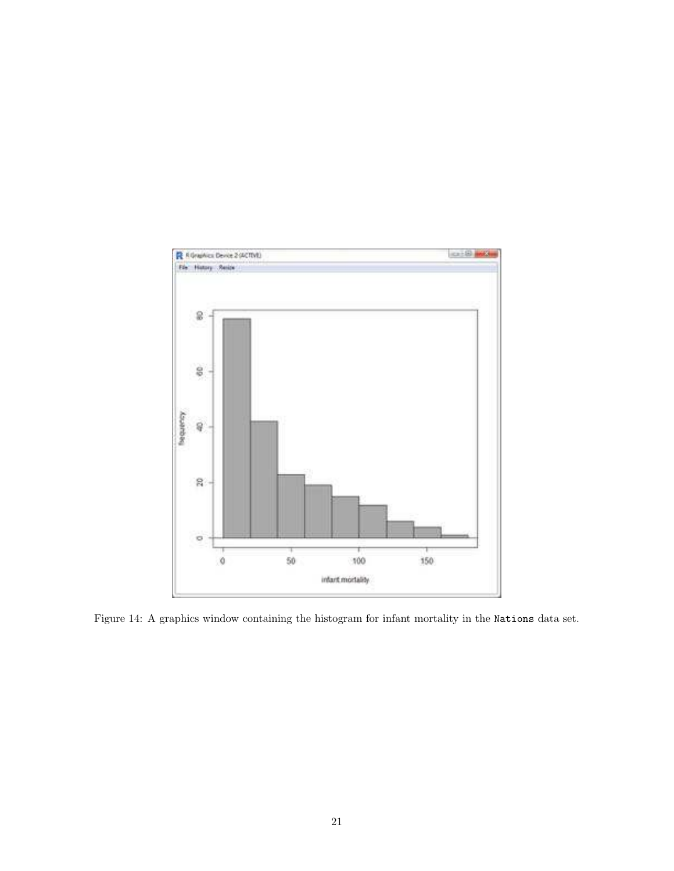

<span id="page-20-0"></span>Figure 14: A graphics window containing the histogram for infant mortality in the Nations data set.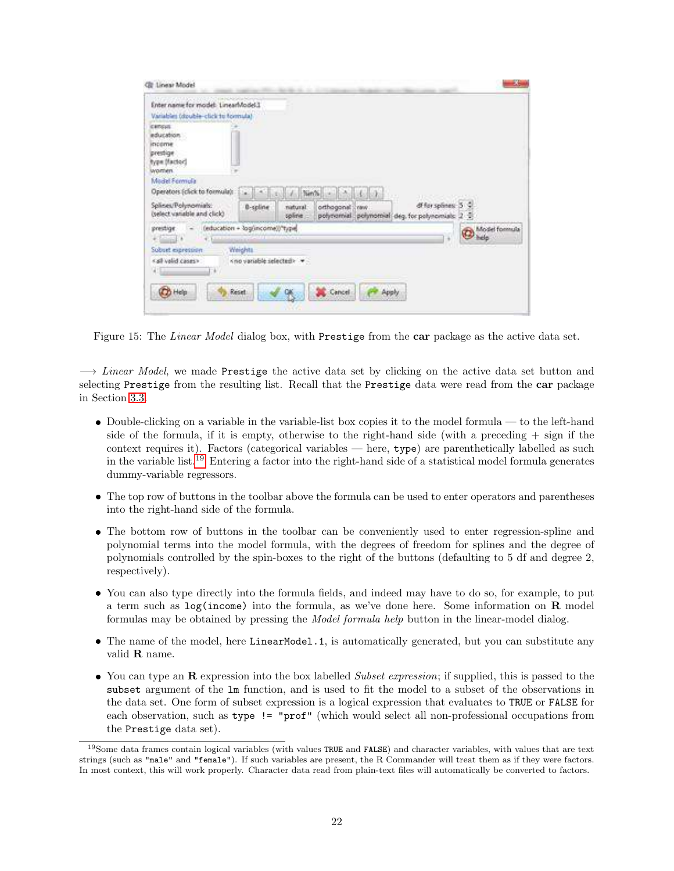| Enter name for model: LinearModel.1 |                                |                    |              |       |                                               |               |
|-------------------------------------|--------------------------------|--------------------|--------------|-------|-----------------------------------------------|---------------|
| Variables (double-click to formula) |                                |                    |              |       |                                               |               |
| census                              |                                |                    |              |       |                                               |               |
| inducation."                        |                                |                    |              |       |                                               |               |
| income<br>prestige                  |                                |                    |              |       |                                               |               |
| fype (factor)                       |                                |                    |              |       |                                               |               |
| women.                              |                                |                    |              |       |                                               |               |
| Model Fermula                       |                                |                    |              |       |                                               |               |
| Operators (click to formula):       |                                |                    |              |       |                                               |               |
| Splines/Polynomials:                |                                |                    |              |       | df for splines: 5 \$                          |               |
| (select variable and click)         | 0-spline                       | natural<br>spline. | orthogonal ; | Yanv. | polynomial polynomial deg for polynomials 2 + |               |
| prestige.                           | (education + log(income))"type |                    |              |       |                                               | Model formula |
| $-1 - 1$                            |                                |                    |              |       |                                               |               |
| Sobret expression                   | Weights                        |                    |              |       |                                               |               |
| call valid cases»:                  | Kno variable selectedly        |                    |              |       |                                               |               |
|                                     |                                |                    |              |       |                                               |               |
| Q)                                  |                                |                    |              |       |                                               |               |
|                                     |                                |                    |              |       |                                               |               |

<span id="page-21-0"></span>Figure 15: The *Linear Model* dialog box, with Prestige from the car package as the active data set.

−→ *Linear Model*, we made Prestige the active data set by clicking on the active data set button and selecting Prestige from the resulting list. Recall that the Prestige data were read from the car package in Section [3.3.](#page-14-1)

- Double-clicking on a variable in the variable-list box copies it to the model formula to the left-hand side of the formula, if it is empty, otherwise to the right-hand side (with a preceding  $+$  sign if the context requires it). Factors (categorical variables — here, type) are parenthetically labelled as such in the variable list.[19](#page-21-1) Entering a factor into the right-hand side of a statistical model formula generates dummy-variable regressors.
- The top row of buttons in the toolbar above the formula can be used to enter operators and parentheses into the right-hand side of the formula.
- The bottom row of buttons in the toolbar can be conveniently used to enter regression-spline and polynomial terms into the model formula, with the degrees of freedom for splines and the degree of polynomials controlled by the spin-boxes to the right of the buttons (defaulting to 5 df and degree 2, respectively).
- You can also type directly into the formula fields, and indeed may have to do so, for example, to put a term such as  $log(income)$  into the formula, as we've done here. Some information on **R** model formulas may be obtained by pressing the *Model formula help* button in the linear-model dialog.
- The name of the model, here LinearModel.1, is automatically generated, but you can substitute any valid R name.
- You can type an R expression into the box labelled *Subset expression*; if supplied, this is passed to the subset argument of the lm function, and is used to fit the model to a subset of the observations in the data set. One form of subset expression is a logical expression that evaluates to TRUE or FALSE for each observation, such as type != "prof" (which would select all non-professional occupations from the Prestige data set).

<span id="page-21-1"></span> $19$ Some data frames contain logical variables (with values TRUE and FALSE) and character variables, with values that are text strings (such as "male" and "female"). If such variables are present, the R Commander will treat them as if they were factors. In most context, this will work properly. Character data read from plain-text files will automatically be converted to factors.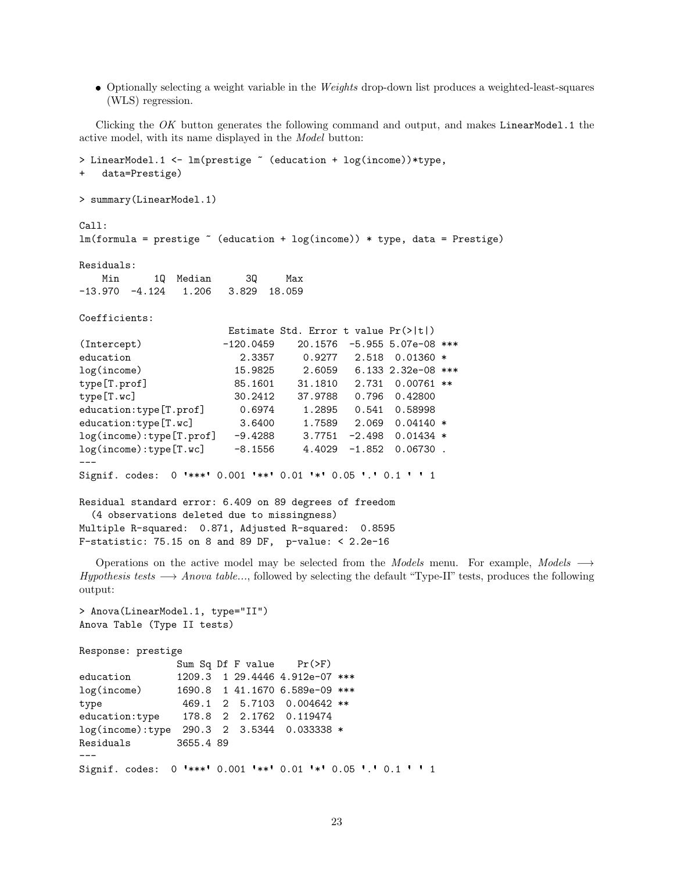Optionally selecting a weight variable in the *Weights* drop-down list produces a weighted-least-squares (WLS) regression.

Clicking the *OK* button generates the following command and output, and makes LinearModel.1 the active model, with its name displayed in the *Model* button:

```
> LinearModel.1 <- lm(prestige ~ (education + log(income))*type,
   data=Prestige)
> summary(LinearModel.1)
Call:
lm(formula = prestige ~ (eduction + log(income)) * type, data = Prestige)Residuals:
   Min 1Q Median 3Q Max
-13.970 -4.124 1.206 3.829 18.059
Coefficients:
                      Estimate Std. Error t value Pr(>|t|)
(Intercept) -120.0459 20.1576 -5.955 5.07e-08 ***
education 2.3357 0.9277 2.518 0.01360 *
log(income) 15.9825 2.6059 6.133 2.32e-08 ***
type[T.prof] 85.1601 31.1810 2.731 0.00761 **
type[T.wc] 30.2412 37.9788 0.796 0.42800
education:type[T.prof] 0.6974 1.2895 0.541 0.58998
education:type[T.wc] 3.6400 1.7589 2.069 0.04140 *
log(income):type[T.prof] -9.4288 3.7751 -2.498 0.01434 *
log(income):type[T.wc] -8.1556 4.4029 -1.852 0.06730 .
---
Signif. codes: 0 *** 0.001 *** 0.01 ** 0.05 . 0.1 ' 1
Residual standard error: 6.409 on 89 degrees of freedom
 (4 observations deleted due to missingness)
Multiple R-squared: 0.871, Adjusted R-squared: 0.8595
F-statistic: 75.15 on 8 and 89 DF, p-value: < 2.2e-16
  Operations on the active model may be selected from the Models menu. For example, Models −→
```
*Hypothesis tests* → *Anova table...*, followed by selecting the default "Type-II" tests, produces the following output:

```
> Anova(LinearModel.1, type="II")
Anova Table (Type II tests)
Response: prestige
              Sum Sq Df F value Pr(>F)
education 1209.3 1 29.4446 4.912e-07 ***
log(income) 1690.8 1 41.1670 6.589e-09 ***
type 469.1 2 5.7103 0.004642 **
education:type 178.8 2 2.1762 0.119474
log(income):type 290.3 2 3.5344 0.033338 *
Residuals 3655.4 89
---
Signif. codes: 0 *** 0.001 ** 0.01 * 0.05 . 0.1 ' 1
```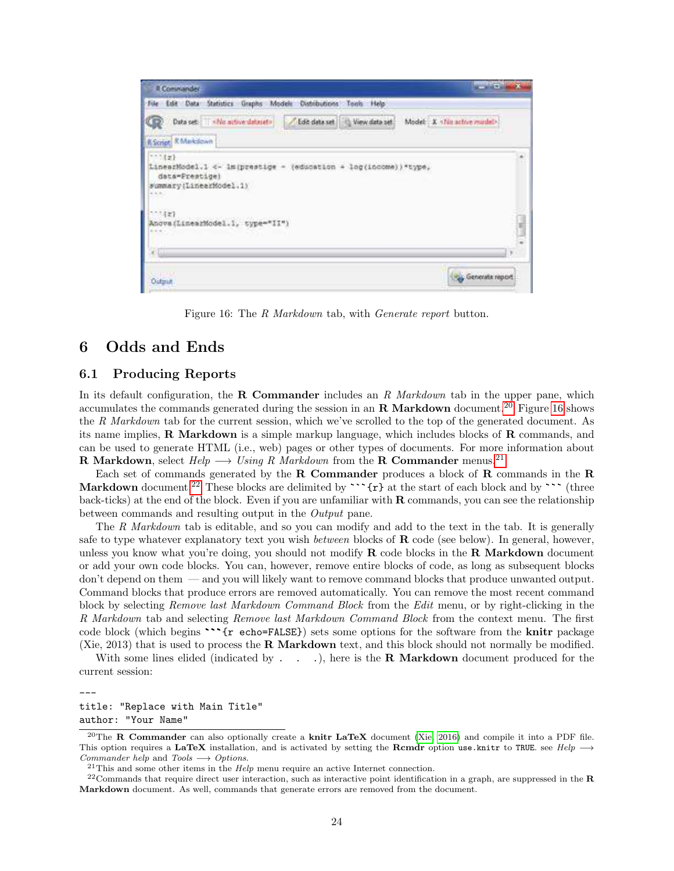

<span id="page-23-2"></span>Figure 16: The *R Markdown* tab, with *Generate report* button.

## 6 Odds and Ends

### <span id="page-23-0"></span>6.1 Producing Reports

In its default configuration, the R Commander includes an *R Markdown* tab in the upper pane, which accumulates the commands generated during the session in an **R** Markdown document.<sup>[20](#page-23-1)</sup> Figure [16](#page-23-2) shows the *R Markdown* tab for the current session, which we've scrolled to the top of the generated document. As its name implies, R Markdown is a simple markup language, which includes blocks of R commands, and can be used to generate HTML (i.e., web) pages or other types of documents. For more information about R Markdown, select  $Help \longrightarrow Using R$  Markdown from the R Commander menus.<sup>[21](#page-23-3)</sup>

Each set of commands generated by the  $R$  Commander produces a block of  $R$  commands in the  $R$ Markdown document.<sup>[22](#page-23-4)</sup> These blocks are delimited by  $\cdots$  {r} at the start of each block and by  $\cdots$  (three back-ticks) at the end of the block. Even if you are unfamiliar with R commands, you can see the relationship between commands and resulting output in the *Output* pane.

The *R Markdown* tab is editable, and so you can modify and add to the text in the tab. It is generally safe to type whatever explanatory text you wish *between* blocks of R code (see below). In general, however, unless you know what you're doing, you should not modify  $\bf{R}$  code blocks in the  $\bf{R}$  Markdown document or add your own code blocks. You can, however, remove entire blocks of code, as long as subsequent blocks don't depend on them — and you will likely want to remove command blocks that produce unwanted output. Command blocks that produce errors are removed automatically. You can remove the most recent command block by selecting *Remove last Markdown Command Block* from the *Edit* menu, or by right-clicking in the *R Markdown* tab and selecting *Remove last Markdown Command Block* from the context menu. The first code block (which begins "'{r echo=FALSE}) sets some options for the software from the knitr package (Xie, 2013) that is used to process the R Markdown text, and this block should not normally be modified.

With some lines elided (indicated by  $\ldots$ ), here is the **R** Markdown document produced for the current session:

title: "Replace with Main Title" author: "Your Name"

---

<span id="page-23-1"></span><sup>&</sup>lt;sup>20</sup>The **R Commander** can also optionally create a **knitr LaTeX** document [\(Xie, 2016\)](#page-27-9) and compile it into a PDF file. This option requires a LaTeX installation, and is activated by setting the Rcmdr option use.knitr to TRUE. see  $Help \rightarrow$ Commander help and Tools  $\longrightarrow$  Options.

<span id="page-23-4"></span><span id="page-23-3"></span> $21$ This and some other items in the  $Help$  menu require an active Internet connection.

 $22$ Commands that require direct user interaction, such as interactive point identification in a graph, are suppressed in the R Markdown document. As well, commands that generate errors are removed from the document.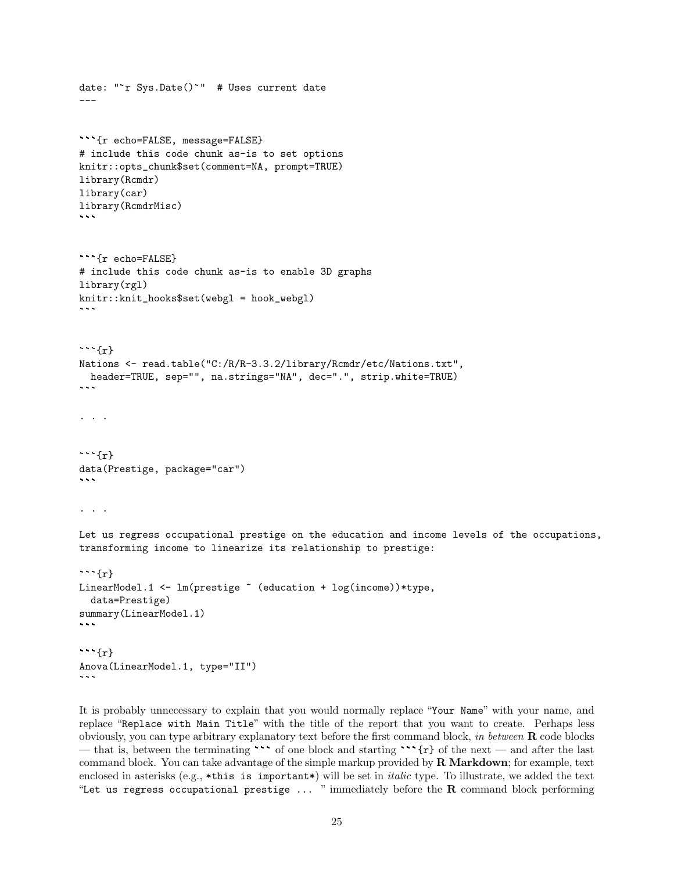```
date: " r Sys.Date() " # Uses current date
---
{r echo=FALSE, message=FALSE}
# include this code chunk as-is to set options
knitr::opts_chunk$set(comment=NA, prompt=TRUE)
library(Rcmdr)
library(car)
library(RcmdrMisc)
{r echo=FALSE}
# include this code chunk as-is to enable 3D graphs
library(rgl)
knitr::knit_hooks$set(webgl = hook_webgl)
\sim \sim \sim\cdots {r}
Nations <- read.table("C:/R/R-3.3.2/library/Rcmdr/etc/Nations.txt",
 header=TRUE, sep="", na.strings="NA", dec=".", strip.white=TRUE)
...
\left\{r\right\}data(Prestige, package="car")
\sim \sim \sim...
Let us regress occupational prestige on the education and income levels of the occupations,
transforming income to linearize its relationship to prestige:
\cdots {r}
LinearModel.1 <- lm(prestige " (education + log(income))*type,
 data=Prestige)
summary(LinearModel.1)
\cdots{r}
Anova(LinearModel.1, type="II")
```
It is probably unnecessary to explain that you would normally replace "Your Name" with your name, and replace "Replace with Main Title" with the title of the report that you want to create. Perhaps less obviously, you can type arbitrary explanatory text before the first command block, *in between* R code blocks — that is, between the terminating  $\cdots$  of one block and starting  $\cdots$  {r} of the next — and after the last command block. You can take advantage of the simple markup provided by  $\bf{R}$  Markdown; for example, text enclosed in asterisks (e.g., \*this is important\*) will be set in *italic* type. To illustrate, we added the text "Let us regress occupational prestige  $\dots$  " immediately before the  $R$  command block performing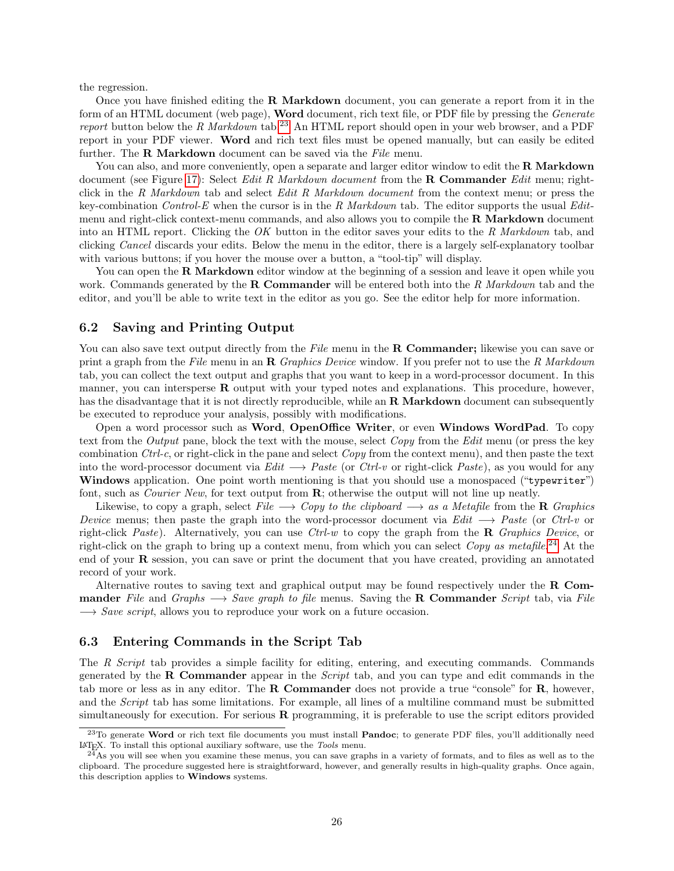the regression.

Once you have finished editing the **R** Markdown document, you can generate a report from it in the form of an HTML document (web page), Word document, rich text file, or PDF file by pressing the *Generate report* button below the *R Markdown* tab.<sup>[23](#page-25-0)</sup> An HTML report should open in your web browser, and a PDF report in your PDF viewer. Word and rich text files must be opened manually, but can easily be edited further. The R Markdown document can be saved via the *File* menu.

You can also, and more conveniently, open a separate and larger editor window to edit the **R** Markdown document (see Figure [17\)](#page-26-0): Select *Edit R Markdown document* from the R Commander *Edit* menu; rightclick in the *R Markdown* tab and select *Edit R Markdown document* from the context menu; or press the key-combination *Control-E* when the cursor is in the *R Markdown* tab. The editor supports the usual *Edit*menu and right-click context-menu commands, and also allows you to compile the  $\bf{R}$  Markdown document into an HTML report. Clicking the *OK* button in the editor saves your edits to the *R Markdown* tab, and clicking *Cancel* discards your edits. Below the menu in the editor, there is a largely self-explanatory toolbar with various buttons; if you hover the mouse over a button, a "tool-tip" will display.

You can open the **R Markdown** editor window at the beginning of a session and leave it open while you work. Commands generated by the R Commander will be entered both into the *R Markdown* tab and the editor, and you'll be able to write text in the editor as you go. See the editor help for more information.

#### 6.2 Saving and Printing Output

You can also save text output directly from the *File* menu in the **R Commander**; likewise you can save or print a graph from the *File* menu in an R *Graphics Device* window. If you prefer not to use the *R Markdown* tab, you can collect the text output and graphs that you want to keep in a word-processor document. In this manner, you can intersperse  $\bf{R}$  output with your typed notes and explanations. This procedure, however, has the disadvantage that it is not directly reproducible, while an  $R$  Markdown document can subsequently be executed to reproduce your analysis, possibly with modifications.

Open a word processor such as Word, OpenOffice Writer, or even Windows WordPad. To copy text from the *Output* pane, block the text with the mouse, select *Copy* from the *Edit* menu (or press the key combination *Ctrl-c*, or right-click in the pane and select *Copy* from the context menu), and then paste the text into the word-processor document via *Edit* −→ *Paste* (or *Ctrl-v* or right-click *Paste*), as you would for any Windows application. One point worth mentioning is that you should use a monospaced ("typewriter") font, such as *Courier New*, for text output from R; otherwise the output will not line up neatly.

Likewise, to copy a graph, select  $File \longrightarrow Copy$  to the clipboard  $\longrightarrow$  as a Metafile from the **R** *Graphics Device* menus; then paste the graph into the word-processor document via *Edit* −→ *Paste* (or *Ctrl-v* or right-click *Paste*). Alternatively, you can use *Ctrl-w* to copy the graph from the R *Graphics Device*, or right-click on the graph to bring up a context menu, from which you can select *Copy as metafile*. [24](#page-25-1) At the end of your R session, you can save or print the document that you have created, providing an annotated record of your work.

Alternative routes to saving text and graphical output may be found respectively under the  $\bf{R}$  Commander *File* and *Graphs* −→ *Save graph to file* menus. Saving the R Commander *Script* tab, via *File* → *Save script*, allows you to reproduce your work on a future occasion.

### 6.3 Entering Commands in the Script Tab

The *R Script* tab provides a simple facility for editing, entering, and executing commands. Commands generated by the R Commander appear in the *Script* tab, and you can type and edit commands in the tab more or less as in any editor. The **R** Commander does not provide a true "console" for  $\mathbf{R}$ , however, and the *Script* tab has some limitations. For example, all lines of a multiline command must be submitted simultaneously for execution. For serious R programming, it is preferable to use the script editors provided

<span id="page-25-0"></span><sup>&</sup>lt;sup>23</sup>To generate Word or rich text file documents you must install Pandoc; to generate PDF files, you'll additionally need L<sup>A</sup>TEX. To install this optional auxiliary software, use the Tools menu.

<span id="page-25-1"></span><sup>&</sup>lt;sup>4</sup>As you will see when you examine these menus, you can save graphs in a variety of formats, and to files as well as to the clipboard. The procedure suggested here is straightforward, however, and generally results in high-quality graphs. Once again, this description applies to Windows systems.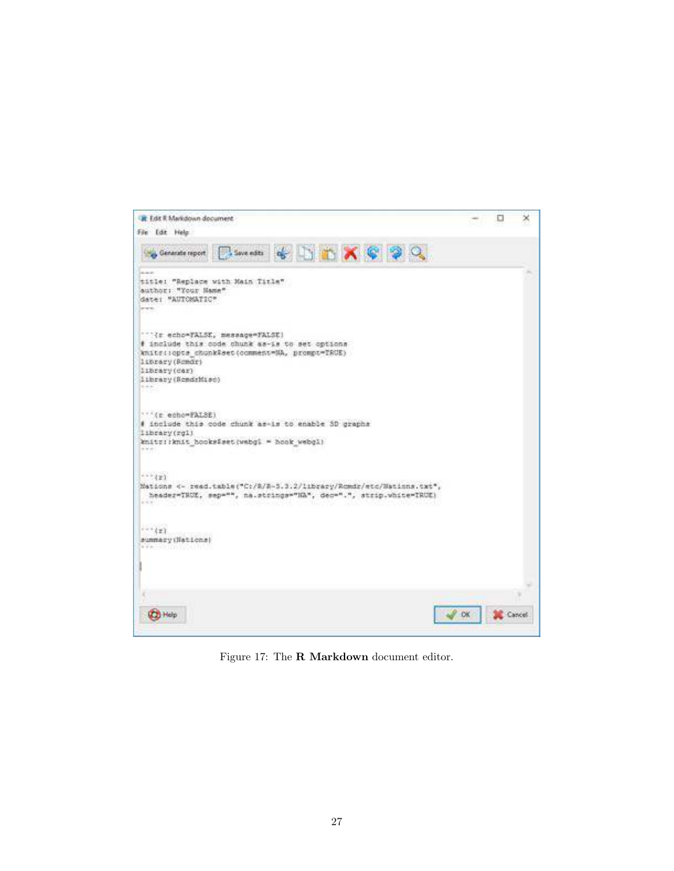<span id="page-26-0"></span>

Figure 17: The R Markdown document editor.